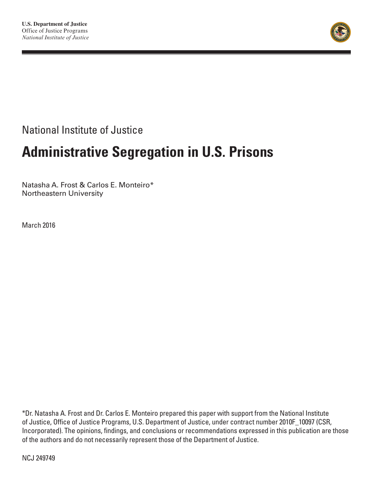

National Institute of Justice

# **Administrative Segregation in U.S. Prisons**

Natasha A. Frost & Carlos E. Monteiro\* Northeastern University

March 2016

\*Dr. Natasha A. Frost and Dr. Carlos E. Monteiro prepared this paper with support from the National Institute of Justice, Office of Justice Programs, U.S. Department of Justice, under contract number 2010F\_10097 (CSR, Incorporated). The opinions, findings, and conclusions or recommendations expressed in this publication are those of the authors and do not necessarily represent those of the Department of Justice.

NCJ 249749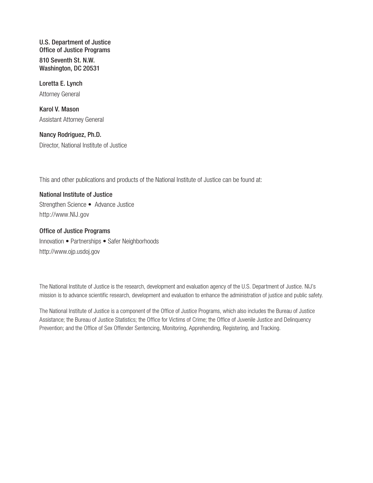U.S. Department of Justice Office of Justice Programs 810 Seventh St. N.W. Washington, DC 20531

Loretta E. Lynch Attorney General

Karol V. Mason Assistant Attorney General

Nancy Rodriguez, Ph.D. Director, National Institute of Justice

This and other publications and products of the National Institute of Justice can be found at:

National Institute of Justice Strengthen Science • Advance Justice [http://www.](http://www.nij.gov)NIJ.gov

#### Office of Justice Programs

Innovation • Partnerships • Safer Neighborhoods <http://www.ojp.usdoj.gov>

The National Institute of Justice is the research, development and evaluation agency of the U.S. Department of Justice. NIJ's mission is to advance scientific research, development and evaluation to enhance the administration of justice and public safety.

The National Institute of Justice is a component of the Office of Justice Programs, which also includes the Bureau of Justice Assistance; the Bureau of Justice Statistics; the Office for Victims of Crime; the Office of Juvenile Justice and Delinquency Prevention; and the Office of Sex Offender Sentencing, Monitoring, Apprehending, Registering, and Tracking.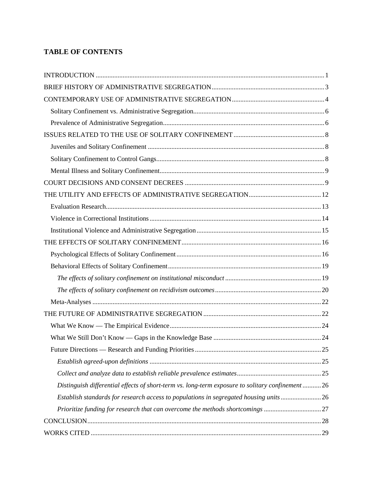# **TABLE OF CONTENTS**

| Distinguish differential effects of short-term vs. long-term exposure to solitary confinement26 |  |
|-------------------------------------------------------------------------------------------------|--|
| Establish standards for research access to populations in segregated housing units26            |  |
| Prioritize funding for research that can overcome the methods shortcomings 27                   |  |
|                                                                                                 |  |
|                                                                                                 |  |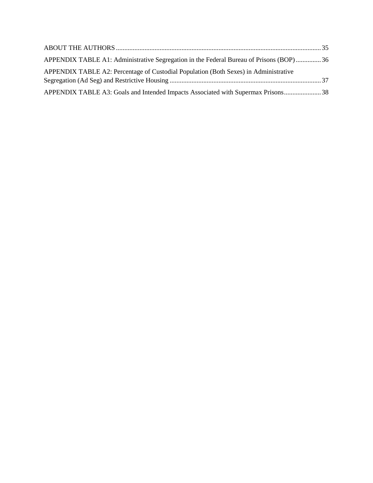| APPENDIX TABLE A1: Administrative Segregation in the Federal Bureau of Prisons (BOP)36 |  |
|----------------------------------------------------------------------------------------|--|
| APPENDIX TABLE A2: Percentage of Custodial Population (Both Sexes) in Administrative   |  |
|                                                                                        |  |
| APPENDIX TABLE A3: Goals and Intended Impacts Associated with Supermax Prisons 38      |  |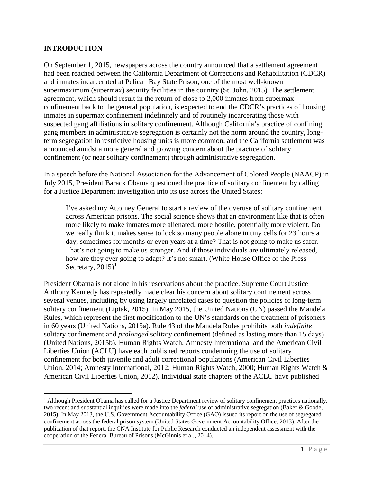### <span id="page-4-0"></span>**INTRODUCTION**

 $\overline{\phantom{a}}$ 

On September 1, 2015, newspapers across the country announced that a settlement agreement had been reached between the California Department of Corrections and Rehabilitation (CDCR) and inmates incarcerated at Pelican Bay State Prison, one of the most well-known supermaximum (supermax) security facilities in the country [\(St. John, 2015\)](#page-36-0). The settlement agreement, which should result in the return of close to 2,000 inmates from supermax confinement back to the general population, is expected to end the CDCR's practices of housing inmates in supermax confinement indefinitely and of routinely incarcerating those with suspected gang affiliations in solitary confinement. Although California's practice of confining gang members in administrative segregation is certainly not the norm around the country, longterm segregation in restrictive housing units is more common, and the California settlement was announced amidst a more general and growing concern about the practice of solitary confinement (or near solitary confinement) through administrative segregation.

In a speech before the National Association for the Advancement of Colored People (NAACP) in July 2015, President Barack Obama questioned the practice of solitary confinement by calling for a Justice Department investigation into its use across the United States:

I've asked my Attorney General to start a review of the overuse of solitary confinement across American prisons. The social science shows that an environment like that is often more likely to make inmates more alienated, more hostile, potentially more violent. Do we really think it makes sense to lock so many people alone in tiny cells for 23 hours a day, sometimes for months or even years at a time? That is not going to make us safer. That's not going to make us stronger. And if those individuals are ultimately released, how are they ever going to adapt? It's not smart. [\(White House Office of the Press](#page-37-1)  Secretary,  $2015$  $2015$  $2015$ <sup>1</sup>

President Obama is not alone in his reservations about the practice. Supreme Court Justice Anthony Kennedy has repeatedly made clear his concern about solitary confinement across several venues, including by using largely unrelated cases to question the policies of long-term solitary confinement [\(Liptak, 2015\)](#page-34-0). In May 2015, the United Nations (UN) passed the Mandela Rules, which represent the first modification to the UN's standards on the treatment of prisoners in 60 years [\(United Nations, 2015a\)](#page-37-2). Rule 43 of the Mandela Rules prohibits both *indefinite* solitary confinement and *prolonged* solitary confinement (defined as lasting more than 15 days) [\(United Nations, 2015b\)](#page-37-3). Human Rights Watch, Amnesty International and the American Civil Liberties Union (ACLU) have each published reports condemning the use of solitary confinement for both juvenile and adult correctional populations [\(American Civil Liberties](#page-32-1)  [Union, 2014;](#page-32-1) [Amnesty International, 2012;](#page-32-2) [Human Rights Watch, 2000;](#page-33-0) [Human Rights Watch &](#page-34-1)  [American Civil Liberties Union, 2012\)](#page-34-1). Individual state chapters of the ACLU have published

<span id="page-4-1"></span> $<sup>1</sup>$  Although President Obama has called for a Justice Department review of solitary confinement practices nationally,</sup> two recent and substantial inquiries were made into the *federal* use of administrative segregation [\(Baker & Goode,](#page-32-3)  [2015\)](#page-32-3). In May 2013, the U.S. Government Accountability Office (GAO) issued its report on the use of segregated confinement across the federal prison system [\(United States Government Accountability Office, 2013\)](#page-37-4). After the publication of that report, the CNA Institute for Public Research conducted an independent assessment with the cooperation of the Federal Bureau of Prisons [\(McGinnis et al., 2014\)](#page-34-2).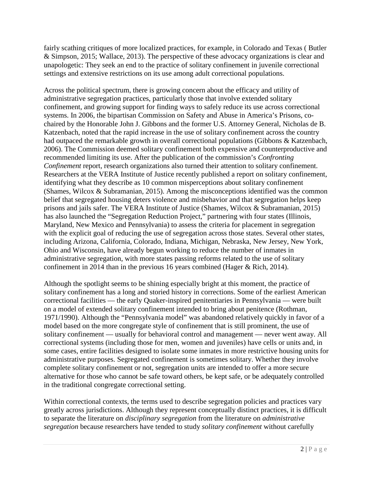fairly scathing critiques of more localized practices, for example, in Colorado and Texas ( [Butler](#page-32-4)  [& Simpson, 2015;](#page-32-4) [Wallace, 2013\)](#page-37-5). The perspective of these advocacy organizations is clear and unapologetic: They seek an end to the practice of solitary confinement in juvenile correctional settings and extensive restrictions on its use among adult correctional populations.

Across the political spectrum, there is growing concern about the efficacy and utility of administrative segregation practices, particularly those that involve extended solitary confinement, and growing support for finding ways to safely reduce its use across correctional systems. In 2006, the bipartisan Commission on Safety and Abuse in America's Prisons, cochaired by the Honorable John J. Gibbons and the former U.S. Attorney General, Nicholas de B. Katzenbach, noted that the rapid increase in the use of solitary confinement across the country had outpaced the remarkable growth in overall correctional populations [\(Gibbons & Katzenbach,](#page-33-1)  [2006\)](#page-33-1). The Commission deemed solitary confinement both expensive and counterproductive and recommended limiting its use. After the publication of the commission's *Confronting Confinement* report, research organizations also turned their attention to solitary confinement. Researchers at the VERA Institute of Justice recently published a report on solitary confinement, identifying what they describe as 10 common misperceptions about solitary confinement [\(Shames, Wilcox & Subramanian, 2015\)](#page-36-1). Among the misconceptions identified was the common belief that segregated housing deters violence and misbehavior and that segregation helps keep prisons and jails safer. The VERA Institute of Justice (Shames, Wilcox & Subramanian, 2015) has also launched the "Segregation Reduction Project," partnering with four states (Illinois, Maryland, New Mexico and Pennsylvania) to assess the criteria for placement in segregation with the explicit goal of reducing the use of segregation across those states. Several other states, including Arizona, California, Colorado, Indiana, Michigan, Nebraska, New Jersey, New York, Ohio and Wisconsin, have already begun working to reduce the number of inmates in administrative segregation, with more states passing reforms related to the use of solitary confinement in 2014 than in the previous 16 years combined (Hager & Rich, 2014).

Although the spotlight seems to be shining especially bright at this moment, the practice of solitary confinement has a long and storied history in corrections. Some of the earliest American correctional facilities — the early Quaker-inspired penitentiaries in Pennsylvania — were built on a model of extended solitary confinement intended to bring about penitence [\(Rothman,](#page-36-2)  [1971/1990\)](#page-36-2). Although the "Pennsylvania model" was abandoned relatively quickly in favor of a model based on the more congregate style of confinement that is still prominent, the use of solitary confinement — usually for behavioral control and management — never went away. All correctional systems (including those for men, women and juveniles) have cells or units and, in some cases, entire facilities designed to isolate some inmates in more restrictive housing units for administrative purposes. Segregated confinement is sometimes solitary. Whether they involve complete solitary confinement or not, segregation units are intended to offer a more secure alternative for those who cannot be safe toward others, be kept safe, or be adequately controlled in the traditional congregate correctional setting.

Within correctional contexts, the terms used to describe segregation policies and practices vary greatly across jurisdictions. Although they represent conceptually distinct practices, it is difficult to separate the literature on *disciplinary segregation* from the literature on *administrative segregation* because researchers have tended to study *solitary confinement* without carefully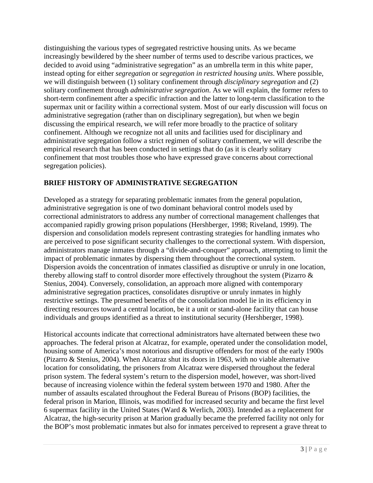distinguishing the various types of segregated restrictive housing units. As we became increasingly bewildered by the sheer number of terms used to describe various practices, we decided to avoid using "administrative segregation" as an umbrella term in this white paper, instead opting for either *segregation* or *segregation in restricted housing units*. Where possible, we will distinguish between (1) solitary confinement through *disciplinary segregation* and (2) solitary confinement through *administrative segregation*. As we will explain, the former refers to short-term confinement after a specific infraction and the latter to long-term classification to the supermax unit or facility within a correctional system. Most of our early discussion will focus on administrative segregation (rather than on disciplinary segregation), but when we begin discussing the empirical research, we will refer more broadly to the practice of solitary confinement. Although we recognize not all units and facilities used for disciplinary and administrative segregation follow a strict regimen of solitary confinement, we will describe the empirical research that has been conducted in settings that do (as it is clearly solitary confinement that most troubles those who have expressed grave concerns about correctional segregation policies).

# <span id="page-6-0"></span>**BRIEF HISTORY OF ADMINISTRATIVE SEGREGATION**

Developed as a strategy for separating problematic inmates from the general population, administrative segregation is one of two dominant behavioral control models used by correctional administrators to address any number of correctional management challenges that accompanied rapidly growing prison populations [\(Hershberger, 1998;](#page-33-2) [Riveland, 1999\)](#page-36-3). The dispersion and consolidation models represent contrasting strategies for handling inmates who are perceived to pose significant security challenges to the correctional system. With dispersion, administrators manage inmates through a "divide-and-conquer" approach, attempting to limit the impact of problematic inmates by dispersing them throughout the correctional system. Dispersion avoids the concentration of inmates classified as disruptive or unruly in one location, thereby allowing staff to control disorder more effectively throughout the system [\(Pizarro &](#page-35-0)  [Stenius, 2004\)](#page-35-0). Conversely, consolidation, an approach more aligned with contemporary administrative segregation practices, consolidates disruptive or unruly inmates in highly restrictive settings. The presumed benefits of the consolidation model lie in its efficiency in directing resources toward a central location, be it a unit or stand-alone facility that can house individuals and groups identified as a threat to institutional security [\(Hershberger, 1998\)](#page-33-2).

Historical accounts indicate that correctional administrators have alternated between these two approaches. The federal prison at Alcatraz, for example, operated under the consolidation model, housing some of America's most notorious and disruptive offenders for most of the early 1900s [\(Pizarro & Stenius, 2004\)](#page-35-0). When Alcatraz shut its doors in 1963, with no viable alternative location for consolidating, the prisoners from Alcatraz were dispersed throughout the federal prison system. The federal system's return to the dispersion model, however, was short-lived because of increasing violence within the federal system between 1970 and 1980. After the number of assaults escalated throughout the Federal Bureau of Prisons (BOP) facilities, the federal prison in Marion, Illinois, was modified for increased security and became the first level 6 supermax facility in the United States [\(Ward & Werlich, 2003\)](#page-37-6). Intended as a replacement for Alcatraz, the high-security prison at Marion gradually became the preferred facility not only for the BOP's most problematic inmates but also for inmates perceived to represent a grave threat to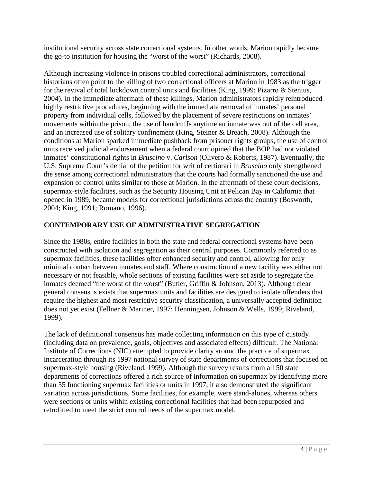institutional security across state correctional systems. In other words, Marion rapidly became the go-to institution for housing the "worst of the worst" [\(Richards, 2008\)](#page-36-4).

Although increasing violence in prisons troubled correctional administrators, correctional historians often point to the killing of two correctional officers at Marion in 1983 as the trigger for the revival of total lockdown control units and facilities [\(King, 1999;](#page-34-3) [Pizarro & Stenius,](#page-35-0)  [2004\)](#page-35-0). In the immediate aftermath of these killings, Marion administrators rapidly reintroduced highly restrictive procedures, beginning with the immediate removal of inmates' personal property from individual cells, followed by the placement of severe restrictions on inmates' movements within the prison, the use of handcuffs anytime an inmate was out of the cell area, and an increased use of solitary confinement [\(King, Steiner & Breach, 2008\)](#page-34-4). Although the conditions at Marion sparked immediate pushback from prisoner rights groups, the use of control units received judicial endorsement when a federal court opined that the BOP had not violated inmates' constitutional rights in *Bruscino* v. *Carlson* [\(Olivero & Roberts, 1987\)](#page-35-1). Eventually, the U.S. Supreme Court's denial of the petition for writ of certiorari in *Bruscino* only strengthened the sense among correctional administrators that the courts had formally sanctioned the use and expansion of control units similar to those at Marion. In the aftermath of these court decisions, supermax-style facilities, such as the Security Housing Unit at Pelican Bay in California that opened in 1989, became models for correctional jurisdictions across the country [\(Bosworth,](#page-32-5)  [2004;](#page-32-5) [King, 1991;](#page-34-5) [Romano, 1996\)](#page-36-5).

## <span id="page-7-0"></span>**CONTEMPORARY USE OF ADMINISTRATIVE SEGREGATION**

Since the 1980s, entire facilities in both the state and federal correctional systems have been constructed with isolation and segregation as their central purposes. Commonly referred to as supermax facilities, these facilities offer enhanced security and control, allowing for only minimal contact between inmates and staff. Where construction of a new facility was either not necessary or not feasible, whole sections of existing facilities were set aside to segregate the inmates deemed "the worst of the worst" [\(Butler, Griffin & Johnson, 2013\)](#page-32-6). Although clear general consensus exists that supermax units and facilities are designed to isolate offenders that require the highest and most restrictive security classification, a universally accepted definition does not yet exist [\(Fellner & Mariner, 1997;](#page-33-3) [Henningsen, Johnson & Wells, 1999;](#page-33-4) [Riveland,](#page-36-3)  [1999\)](#page-36-3).

The lack of definitional consensus has made collecting information on this type of custody (including data on prevalence, goals, objectives and associated effects) difficult. The National Institute of Corrections (NIC) attempted to provide clarity around the practice of supermax incarceration through its 1997 national survey of state departments of corrections that focused on supermax-style housing [\(Riveland, 1999\)](#page-36-3). Although the survey results from all 50 state departments of corrections offered a rich source of information on supermax by identifying more than 55 functioning supermax facilities or units in 1997, it also demonstrated the significant variation across jurisdictions. Some facilities, for example, were stand-alones, whereas others were sections or units within existing correctional facilities that had been repurposed and retrofitted to meet the strict control needs of the supermax model.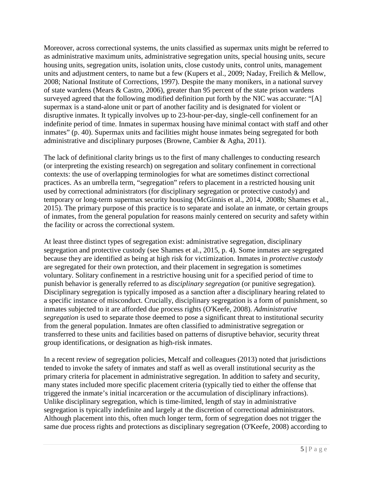Moreover, across correctional systems, the units classified as supermax units might be referred to as administrative maximum units, administrative segregation units, special housing units, secure housing units, segregation units, isolation units, close custody units, control units, management units and adjustment centers, to name but a few [\(Kupers et al., 2009;](#page-34-6) [Naday, Freilich & Mellow,](#page-35-2)  [2008;](#page-35-2) [National Institute of Corrections, 1997\)](#page-35-3). Despite the many monikers, in a national survey of state wardens [\(Mears & Castro, 2006\)](#page-34-7), greater than 95 percent of the state prison wardens surveyed agreed that the following modified definition put forth by the NIC was accurate: "[A] supermax is a stand-alone unit or part of another facility and is designated for violent or disruptive inmates. It typically involves up to 23-hour-per-day, single-cell confinement for an indefinite period of time. Inmates in supermax housing have minimal contact with staff and other inmates" (p. 40). Supermax units and facilities might house inmates being segregated for both administrative and disciplinary purposes [\(Browne, Cambier & Agha, 2011\)](#page-32-7).

The lack of definitional clarity brings us to the first of many challenges to conducting research (or interpreting the existing research) on segregation and solitary confinement in correctional contexts: the use of overlapping terminologies for what are sometimes distinct correctional practices. As an umbrella term, "segregation" refers to placement in a restricted housing unit used by correctional administrators (for disciplinary segregation or protective custody) and temporary or long-term supermax security housing [\(McGinnis et al., 2014,](#page-34-2) [2008b;](#page-35-4) [Shames et al.,](#page-36-1)  [2015\)](#page-36-1). The primary purpose of this practice is to separate and isolate an inmate, or certain groups of inmates, from the general population for reasons mainly centered on security and safety within the facility or across the correctional system.

At least three distinct types of segregation exist: administrative segregation, disciplinary segregation and protective custody [\(see Shames et al., 2015, p. 4\)](#page-36-1). Some inmates are segregated because they are identified as being at high risk for victimization. Inmates in *protective custody*  are segregated for their own protection, and their placement in segregation is sometimes voluntary. Solitary confinement in a restrictive housing unit for a specified period of time to punish behavior is generally referred to as *disciplinary segregation* (or punitive segregation). Disciplinary segregation is typically imposed as a sanction after a disciplinary hearing related to a specific instance of misconduct. Crucially, disciplinary segregation is a form of punishment, so inmates subjected to it are afforded due process rights [\(O'Keefe, 2008\)](#page-35-4). *Administrative segregation* is used to separate those deemed to pose a significant threat to institutional security from the general population. Inmates are often classified to administrative segregation or transferred to these units and facilities based on patterns of disruptive behavior, security threat group identifications, or designation as high-risk inmates.

In a recent review of segregation policies, Metcalf and colleagues (2013) noted that jurisdictions tended to invoke the safety of inmates and staff as well as overall institutional security as the primary criteria for placement in administrative segregation. In addition to safety and security, many states included more specific placement criteria (typically tied to either the offense that triggered the inmate's initial incarceration or the accumulation of disciplinary infractions). Unlike disciplinary segregation, which is time-limited, length of stay in administrative segregation is typically indefinite and largely at the discretion of correctional administrators. Although placement into this, often much longer term, form of segregation does not trigger the same due process rights and protections as disciplinary segregation [\(O'Keefe, 2008\)](#page-35-4) according to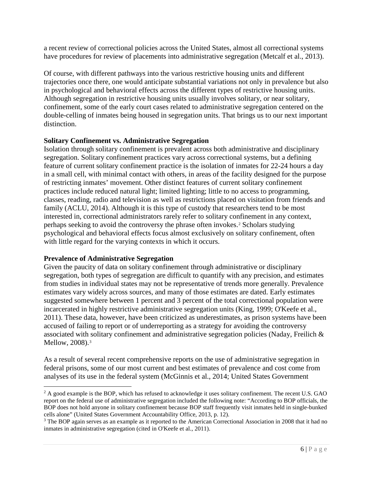a recent review of correctional policies across the United States, almost all correctional systems have procedures for review of placements into administrative segregation [\(Metcalf et al., 2013\)](#page-35-5).

Of course, with different pathways into the various restrictive housing units and different trajectories once there, one would anticipate substantial variations not only in prevalence but also in psychological and behavioral effects across the different types of restrictive housing units. Although segregation in restrictive housing units usually involves solitary, or near solitary, confinement, some of the early court cases related to administrative segregation centered on the double-celling of inmates being housed in segregation units. That brings us to our next important distinction.

### <span id="page-9-0"></span>**Solitary Confinement vs. Administrative Segregation**

Isolation through solitary confinement is prevalent across both administrative and disciplinary segregation. Solitary confinement practices vary across correctional systems, but a defining feature of current solitary confinement practice is the isolation of inmates for 22-24 hours a day in a small cell, with minimal contact with others, in areas of the facility designed for the purpose of restricting inmates' movement. Other distinct features of current solitary confinement practices include reduced natural light; limited lighting; little to no access to programming, classes, reading, radio and television as well as restrictions placed on visitation from friends and family [\(ACLU, 2014\)](#page-32-1). Although it is this type of custody that researchers tend to be most interested in, correctional administrators rarely refer to solitary confinement in any context, perhaps seeking to avoid the controversy the phrase often invokes.<sup>[2](#page-9-2)</sup> Scholars studying psychological and behavioral effects focus almost exclusively on solitary confinement, often with little regard for the varying contexts in which it occurs.

#### <span id="page-9-1"></span>**Prevalence of Administrative Segregation**

l

Given the paucity of data on solitary confinement through administrative or disciplinary segregation, both types of segregation are difficult to quantify with any precision, and estimates from studies in individual states may not be representative of trends more generally. Prevalence estimates vary widely across sources, and many of those estimates are dated. Early estimates suggested somewhere between 1 percent and 3 percent of the total correctional population were incarcerated in highly restrictive administrative segregation units [\(King, 1999;](#page-34-3) [O'Keefe](#page-35-6) et al., [2011\)](#page-35-6). These data, however, have been criticized as underestimates, as prison systems have been accused of failing to report or of underreporting as a strategy for avoiding the controversy associated with solitary confinement and administrative segregation policies (Naday, Freilich & Mellow, 2008).<sup>[3](#page-9-3)</sup>

As a result of several recent comprehensive reports on the use of administrative segregation in federal prisons, some of our most current and best estimates of prevalence and cost come from analyses of its use in the federal system [\(McGinnis et al., 2014;](#page-34-2) [United States Government](#page-37-4) 

<span id="page-9-2"></span><sup>&</sup>lt;sup>2</sup> A good example is the BOP, which has refused to acknowledge it uses solitary confinement. The recent U.S. GAO report on the federal use of administrative segregation included the following note: "According to BOP officials, the BOP does not hold anyone in solitary confinement because BOP staff frequently visit inmates held in single-bunked cells alone" [\(United States Government Accountability Office, 2013, p. 12\)](#page-37-4).

<span id="page-9-3"></span><sup>&</sup>lt;sup>3</sup> The BOP again serves as an example as it reported to the American Correctional Association in 2008 that it had no inmates in administrative segregation [\(cited in O'Keefe et al., 2011\)](#page-35-6).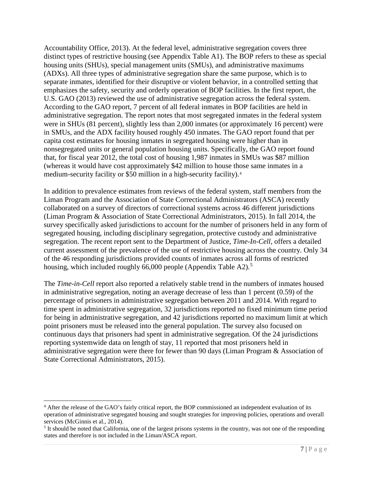[Accountability Office, 2013\)](#page-37-4). At the federal level, administrative segregation covers three distinct types of restrictive housing (see Appendix Table A1). The BOP refers to these as special housing units (SHUs), special management units (SMUs), and administrative maximums (ADXs). All three types of administrative segregation share the same purpose, which is to separate inmates, identified for their disruptive or violent behavior, in a controlled setting that emphasizes the safety, security and orderly operation of BOP facilities. In the first report, the U.S. GAO (2013) reviewed the use of administrative segregation across the federal system. According to the GAO report, 7 percent of all federal inmates in BOP facilities are held in administrative segregation. The report notes that most segregated inmates in the federal system were in SHUs (81 percent), slightly less than 2,000 inmates (or approximately 16 percent) were in SMUs, and the ADX facility housed roughly 450 inmates. The GAO report found that per capita cost estimates for housing inmates in segregated housing were higher than in nonsegregated units or general population housing units. Specifically, the GAO report found that, for fiscal year 2012, the total cost of housing 1,987 inmates in SMUs was \$87 million (whereas it would have cost approximately \$42 million to house those same inmates in a medium-security facility or \$50 million in a high-security facility).[4](#page-10-1)

In addition to prevalence estimates from reviews of the federal system, staff members from the Liman Program and the Association of State Correctional Administrators (ASCA) recently collaborated on a survey of directors of correctional systems across 46 different jurisdictions [\(Liman Program & Association of State Correctional Administrators, 2015\)](#page-34-8). In fall 2014, the survey specifically asked jurisdictions to account for the number of prisoners held in any form of segregated housing, including disciplinary segregation, protective custody and administrative segregation. The recent report sent to the Department of Justice, *Time-In-Cell*, offers a detailed current assessment of the prevalence of the use of restrictive housing across the country. Only 34 of the 46 responding jurisdictions provided counts of inmates across all forms of restricted housing, which included roughly 66,000 people (Appendix Table A2).<sup>[5](#page-10-2)</sup>

The *Time-in-Cell* report also reported a relatively stable trend in the numbers of inmates housed in administrative segregation, noting an average decrease of less than 1 percent (0.59) of the percentage of prisoners in administrative segregation between 2011 and 2014. With regard to time spent in administrative segregation, 32 jurisdictions reported no fixed minimum time period for being in administrative segregation, and 42 jurisdictions reported no maximum limit at which point prisoners must be released into the general population. The survey also focused on continuous days that prisoners had spent in administrative segregation. Of the 24 jurisdictions reporting systemwide data on length of stay, 11 reported that most prisoners held in administrative segregation were there for fewer than 90 days [\(Liman Program & Association of](#page-34-8)  [State Correctional Administrators, 2015\)](#page-34-8).

<span id="page-10-0"></span> $\overline{\phantom{a}}$ 

<span id="page-10-1"></span><sup>&</sup>lt;sup>4</sup> After the release of the GAO's fairly critical report, the BOP commissioned an independent evaluation of its operation of administrative segregated housing and sought strategies for improving policies, operations and overall services (McGinnis et al., 2014).

<span id="page-10-2"></span> $<sup>5</sup>$  It should be noted that California, one of the largest prisons systems in the country, was not one of the responding</sup> states and therefore is not included in the Liman/ASCA report.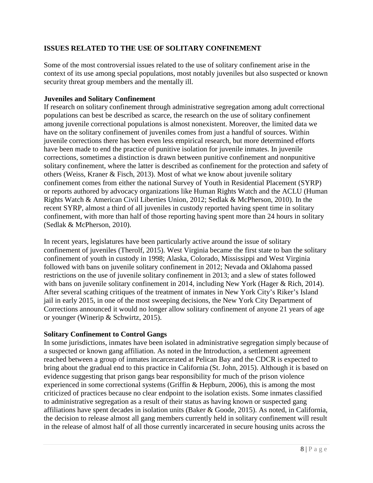## **ISSUES RELATED TO THE USE OF SOLITARY CONFINEMENT**

Some of the most controversial issues related to the use of solitary confinement arise in the context of its use among special populations, most notably juveniles but also suspected or known security threat group members and the mentally ill.

### <span id="page-11-0"></span>**Juveniles and Solitary Confinement**

If research on solitary confinement through administrative segregation among adult correctional populations can best be described as scarce, the research on the use of solitary confinement among juvenile correctional populations is almost nonexistent. Moreover, the limited data we have on the solitary confinement of juveniles comes from just a handful of sources. Within juvenile corrections there has been even less empirical research, but more determined efforts have been made to end the practice of punitive isolation for juvenile inmates. In juvenile corrections, sometimes a distinction is drawn between punitive confinement and nonpunitive solitary confinement, where the latter is described as confinement for the protection and safety of others [\(Weiss, Kraner & Fisch, 2013\)](#page-37-7). Most of what we know about juvenile solitary confinement comes from either the national Survey of Youth in Residential Placement (SYRP) or reports authored by advocacy organizations like Human Rights Watch and the ACLU (Human Rights Watch & American Civil Liberties Union, [2012;](#page-34-1) [Sedlak & McPherson, 2010\)](#page-36-6). In the recent SYRP, almost a third of all juveniles in custody reported having spent time in solitary confinement, with more than half of those reporting having spent more than 24 hours in solitary [\(Sedlak & McPherson, 2010\)](#page-36-6).

In recent years, legislatures have been particularly active around the issue of solitary confinement of juveniles [\(Therolf, 2015\)](#page-37-8). West Virginia became the first state to ban the solitary confinement of youth in custody in 1998; Alaska, Colorado, Mississippi and West Virginia followed with bans on juvenile solitary confinement in 2012; Nevada and Oklahoma passed restrictions on the use of juvenile solitary confinement in 2013; and a slew of states followed with bans on juvenile solitary confinement in 2014, including New York (Hager & Rich, 2014). After several scathing critiques of the treatment of inmates in New York City's Riker's Island jail in early 2015, in one of the most sweeping decisions, the New York City Department of Corrections announced it would no longer allow solitary confinement of anyone 21 years of age or younger [\(Winerip & Schwirtz, 2015\)](#page-37-9).

### <span id="page-11-1"></span>**Solitary Confinement to Control Gangs**

In some jurisdictions, inmates have been isolated in administrative segregation simply because of a suspected or known gang affiliation. As noted in the Introduction, a settlement agreement reached between a group of inmates incarcerated at Pelican Bay and the CDCR is expected to bring about the gradual end to this practice in California [\(St. John, 2015\)](#page-36-0). Although it is based on evidence suggesting that prison gangs bear responsibility for much of the prison violence experienced in some correctional systems [\(Griffin & Hepburn, 2006\)](#page-33-5), this is among the most criticized of practices because no clear endpoint to the isolation exists. Some inmates classified to administrative segregation as a result of their status as having known or suspected gang affiliations have spent decades in isolation units [\(Baker & Goode, 2015\)](#page-32-3). As noted, in California, the decision to release almost all gang members currently held in solitary confinement will result in the release of almost half of all those currently incarcerated in secure housing units across the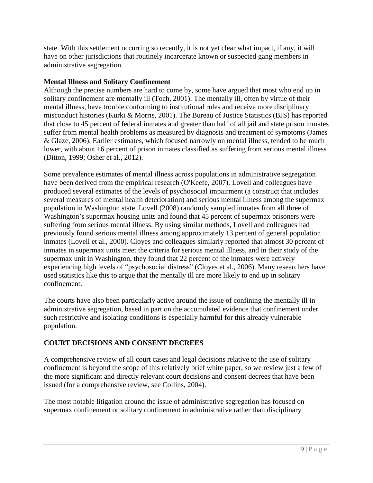state. With this settlement occurring so recently, it is not yet clear what impact, if any, it will have on other jurisdictions that routinely incarcerate known or suspected gang members in administrative segregation.

## <span id="page-12-0"></span>**Mental Illness and Solitary Confinement**

Although the precise numbers are hard to come by, some have argued that most who end up in solitary confinement are mentally ill [\(Toch, 2001\)](#page-37-10). The mentally ill, often by virtue of their mental illness, have trouble conforming to institutional rules and receive more disciplinary misconduct histories [\(Kurki & Morris, 2001\)](#page-34-9). The Bureau of Justice Statistics (BJS) has reported that close to 45 percent of federal inmates and greater than half of all jail and state prison inmates suffer from mental health problems as measured by diagnosis and treatment of symptoms [\(James](#page-34-10)  [& Glaze, 2006\)](#page-34-10). Earlier estimates, which focused narrowly on mental illness, tended to be much lower, with about 16 percent of prison inmates classified as suffering from serious mental illness [\(Ditton, 1999;](#page-32-8) [Osher et al., 2012\)](#page-35-7).

Some prevalence estimates of mental illness across populations in administrative segregation have been derived from the empirical research [\(O'Keefe, 2007](#page-35-8)). Lovell and colleagues have produced several estimates of the levels of psychosocial impairment (a construct that includes several measures of mental health deterioration) and serious mental illness among the supermax population in Washington state. Lovell [\(2008\)](#page-34-11) randomly sampled inmates from all three of Washington's supermax housing units and found that 45 percent of supermax prisoners were suffering from serious mental illness. By using similar methods, Lovell and colleagues had previously found serious mental illness among approximately 13 percent of general population inmates (Lovell [et al., 2000\)](#page-34-12). Cloyes and colleagues similarly reported that almost 30 percent of inmates in supermax units meet the criteria for serious mental illness, and in their study of the supermax unit in Washington, they found that 22 percent of the inmates were actively experiencing high levels of "psychosocial distress" [\(Cloyes et al., 2006\)](#page-32-9). Many researchers have used statistics like this to argue that the mentally ill are more likely to end up in solitary confinement.

The courts have also been particularly active around the issue of confining the mentally ill in administrative segregation, based in part on the accumulated evidence that confinement under such restrictive and isolating conditions is especially harmful for this already vulnerable population.

# <span id="page-12-1"></span>**COURT DECISIONS AND CONSENT DECREES**

A comprehensive review of all court cases and legal decisions relative to the use of solitary confinement is beyond the scope of this relatively brief white paper, so we review just a few of the more significant and directly relevant court decisions and consent decrees that have been issued [\(for a comprehensive review,](#page-32-10) see Collins, 2004).

The most notable litigation around the issue of administrative segregation has focused on supermax confinement or solitary confinement in administrative rather than disciplinary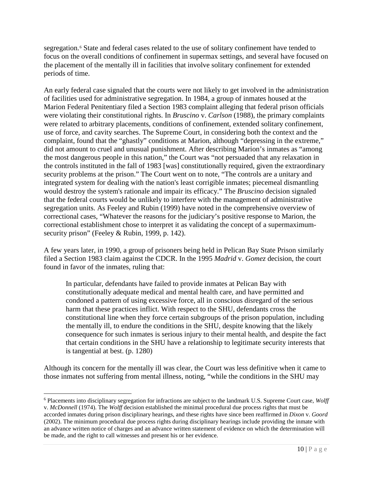segregation.<sup>[6](#page-13-0)</sup> State and federal cases related to the use of solitary confinement have tended to focus on the overall conditions of confinement in supermax settings, and several have focused on the placement of the mentally ill in facilities that involve solitary confinement for extended periods of time.

An early federal case signaled that the courts were not likely to get involved in the administration of facilities used for administrative segregation. In 1984, a group of inmates housed at the Marion Federal Penitentiary filed a Section 1983 complaint alleging that federal prison officials were violating their constitutional rights. In *Bruscino* v. *Carlson* (1988), the primary complaints were related to arbitrary placements, conditions of confinement, extended solitary confinement, use of force, and cavity searches. The Supreme Court, in considering both the context and the complaint, found that the "ghastly" conditions at Marion, although "depressing in the extreme," did not amount to cruel and unusual punishment. After describing Marion's inmates as "among the most dangerous people in this nation," the Court was "not persuaded that any relaxation in the controls instituted in the fall of 1983 [was] constitutionally required, given the extraordinary security problems at the prison." The Court went on to note, "The controls are a unitary and integrated system for dealing with the nation's least corrigible inmates; piecemeal dismantling would destroy the system's rationale and impair its efficacy." The *Bruscino* decision signaled that the federal courts would be unlikely to interfere with the management of administrative segregation units. As Feeley and Rubin (1999) have noted in the comprehensive overview of correctional cases, "Whatever the reasons for the judiciary's positive response to Marion, the correctional establishment chose to interpret it as validating the concept of a supermaximum-security prison" [\(Feeley & Rubin, 1999, p. 142\)](#page-33-6).

A few years later, in 1990, a group of prisoners being held in Pelican Bay State Prison similarly filed a Section 1983 claim against the CDCR. In the 1995 *Madrid* v. *Gomez* decision, the court found in favor of the inmates, ruling that:

In particular, defendants have failed to provide inmates at Pelican Bay with constitutionally adequate medical and mental health care, and have permitted and condoned a pattern of using excessive force, all in conscious disregard of the serious harm that these practices inflict. With respect to the SHU, defendants cross the constitutional line when they force certain subgroups of the prison population, including the mentally ill, to endure the conditions in the SHU, despite knowing that the likely consequence for such inmates is serious injury to their mental health, and despite the fact that certain conditions in the SHU have a relationship to legitimate security interests that is tangential at best. (p. 1280)

Although its concern for the mentally ill was clear, the Court was less definitive when it came to those inmates not suffering from mental illness, noting, "while the conditions in the SHU may

 $\overline{\phantom{a}}$ 

<span id="page-13-0"></span><sup>6</sup> Placements into disciplinary segregation for infractions are subject to the landmark U.S. Supreme Court case, *Wolff*  v. *McDonnell* (1974). The *Wolff* decision established the minimal procedural due process rights that must be accorded inmates during prison disciplinary hearings, and these rights have since been reaffirmed in *Dixon* v. *Goord* (2002). The minimum procedural due process rights during disciplinary hearings include providing the inmate with an advance written notice of charges and an advance written statement of evidence on which the determination will be made, and the right to call witnesses and present his or her evidence.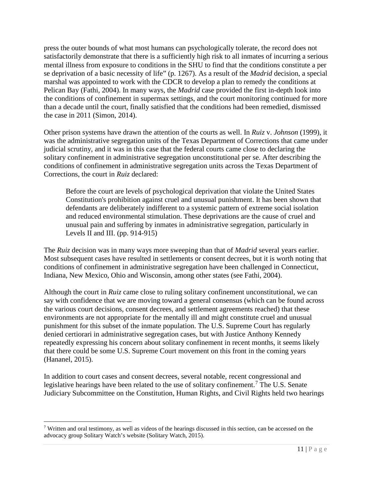press the outer bounds of what most humans can psychologically tolerate, the record does not satisfactorily demonstrate that there is a sufficiently high risk to all inmates of incurring a serious mental illness from exposure to conditions in the SHU to find that the conditions constitute a per se deprivation of a basic necessity of life" (p. 1267). As a result of the *Madrid* decision, a special marshal was appointed to work with the CDCR to develop a plan to remedy the conditions at Pelican Bay [\(Fathi, 2004\)](#page-32-11). In many ways, the *Madrid* case provided the first in-depth look into the conditions of confinement in supermax settings, and the court monitoring continued for more than a decade until the court, finally satisfied that the conditions had been remedied, dismissed the case in 2011 [\(Simon, 2014\)](#page-36-7).

Other prison systems have drawn the attention of the courts as well. In *Ruiz* v. *Johnson* (1999), it was the administrative segregation units of the Texas Department of Corrections that came under judicial scrutiny, and it was in this case that the federal courts came close to declaring the solitary confinement in administrative segregation unconstitutional per se. After describing the conditions of confinement in administrative segregation units across the Texas Department of Corrections, the court in *Ruiz* declared:

Before the court are levels of psychological deprivation that violate the United States Constitution's prohibition against cruel and unusual punishment. It has been shown that defendants are deliberately indifferent to a systemic pattern of extreme social isolation and reduced environmental stimulation. These deprivations are the cause of cruel and unusual pain and suffering by inmates in administrative segregation, particularly in Levels II and III. (pp.  $914-915$ )

The *Ruiz* decision was in many ways more sweeping than that of *Madrid* several years earlier. Most subsequent cases have resulted in settlements or consent decrees, but it is worth noting that conditions of confinement in administrative segregation have been challenged in Connecticut, Indiana, New Mexico, Ohio and Wisconsin, among other states [\(see Fathi, 2004\)](#page-32-11).

Although the court in *Ruiz* came close to ruling solitary confinement unconstitutional, we can say with confidence that we are moving toward a general consensus (which can be found across the various court decisions, consent decrees, and settlement agreements reached) that these environments are not appropriate for the mentally ill and might constitute cruel and unusual punishment for this subset of the inmate population. The U.S. Supreme Court has regularly denied certiorari in administrative segregation cases, but with Justice Anthony Kennedy repeatedly expressing his concern about solitary confinement in recent months, it seems likely that there could be some U.S. Supreme Court movement on this front in the coming years [\(Hananel, 2015\)](#page-33-7).

In addition to court cases and consent decrees, several notable, recent congressional and legislative hearings have been related to the use of solitary confinement.<sup>[7](#page-14-0)</sup> The U.S. Senate Judiciary Subcommittee on the Constitution, Human Rights, and Civil Rights held two hearings

l

<span id="page-14-0"></span><sup>&</sup>lt;sup>7</sup> Written and oral testimony, as well as videos of the hearings discussed in this section, can be accessed on the advocacy group Solitary Watch's website (Solitary Watch, 2015).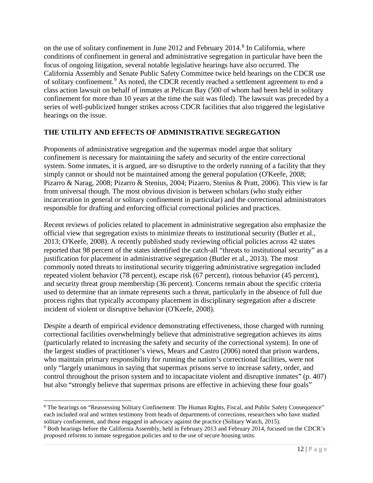on the use of solitary confinement in June 2012 and February 2014.<sup>[8](#page-15-1)</sup> In California, where conditions of confinement in general and administrative segregation in particular have been the focus of ongoing litigation, several notable legislative hearings have also occurred. The California Assembly and Senate Public Safety Committee twice held hearings on the CDCR use of solitary confinement.<sup>[9](#page-15-2)</sup> As noted, the CDCR recently reached a settlement agreement to end a class action lawsuit on behalf of inmates at Pelican Bay (500 of whom had been held in solitary confinement for more than 10 years at the time the suit was filed). The lawsuit was preceded by a series of well-publicized hunger strikes across CDCR facilities that also triggered the legislative hearings on the issue.

# <span id="page-15-0"></span>**THE UTILITY AND EFFECTS OF ADMINISTRATIVE SEGREGATION**

Proponents of administrative segregation and the supermax model argue that solitary confinement is necessary for maintaining the safety and security of the entire correctional system. Some inmates, it is argued, are so disruptive to the orderly running of a facility that they simply cannot or should not be maintained among the general population [\(O'Keefe, 2008;](#page-35-4) [Pizarro & Narag, 2008;](#page-35-9) [Pizarro & Stenius, 2004;](#page-35-0) [Pizarro, Stenius & Pratt, 2006\)](#page-35-10). This view is far from universal though. The most obvious division is between scholars (who study either incarceration in general or solitary confinement in particular) and the correctional administrators responsible for drafting and enforcing official correctional policies and practices.

Recent reviews of policies related to placement in administrative segregation also emphasize the official view that segregation exists to minimize threats to institutional security [\(Butler et al.,](#page-32-6)  [2013;](#page-32-6) [O'Keefe, 2008\)](#page-35-4). A recently published study reviewing official policies across 42 states reported that 98 percent of the states identified the catch-all "threats to institutional security" as a justification for placement in administrative segregation [\(Butler et al., 2013\)](#page-32-6). The most commonly noted threats to institutional security triggering administrative segregation included repeated violent behavior (78 percent), escape risk (67 percent), riotous behavior (45 percent), and security threat group membership (36 percent). Concerns remain about the specific criteria used to determine that an inmate represents such a threat, particularly in the absence of full due process rights that typically accompany placement in disciplinary segregation after a discrete incident of violent or disruptive behavior [\(O'Keefe, 2008\)](#page-35-4).

Despite a dearth of empirical evidence demonstrating effectiveness, those charged with running correctional facilities overwhelmingly believe that administrative segregation achieves its aims (particularly related to increasing the safety and security of the correctional system). In one of the largest studies of practitioner's views, Mears and Castro (2006) noted that prison wardens, who maintain primary responsibility for running the nation's correctional facilities, were not only "largely unanimous in saying that supermax prisons serve to increase safety, order, and control throughout the prison system and to incapacitate violent and disruptive inmates" (p. 407) but also "strongly believe that supermax prisons are effective in achieving these four goals"

<span id="page-15-1"></span><sup>8</sup> The hearings on "Reassessing Solitary Confinement: The Human Rights, Fiscal, and Public Safety Consequence" each included oral and written testimony from heads of departments of corrections, researchers who have studied solitary confinement, and those engaged in advocacy against the practice [\(Solitary Watch, 2015\)](#page-36-8).  $\overline{\phantom{a}}$ 

<span id="page-15-2"></span><sup>9</sup> Both hearings before the California Assembly, held in February 2013 and February 2014, focused on the CDCR's proposed reforms to inmate segregation policies and to the use of secure housing units.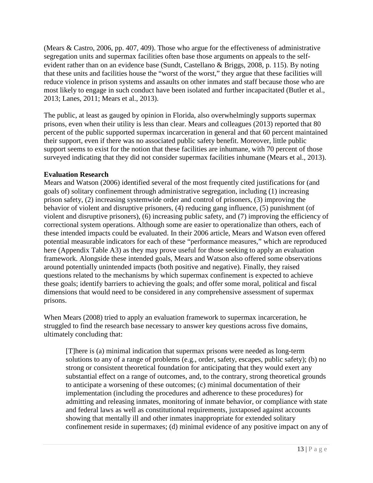[\(Mears & Castro, 2006, pp. 407, 409\)](#page-34-7). Those who argue for the effectiveness of administrative segregation units and supermax facilities often base those arguments on appeals to the selfevident rather than on an evidence base (Sundt, Castellano & Briggs, 2008, p. 115). By noting that these units and facilities house the "worst of the worst," they argue that these facilities will reduce violence in prison systems and assaults on other inmates and staff because those who are most likely to engage in such conduct have been isolated and further incapacitated [\(Butler et al.,](#page-32-6)  [2013;](#page-32-6) [Lanes, 2011;](#page-34-13) [Mears et al., 2013\)](#page-35-11).

The public, at least as gauged by opinion in Florida, also overwhelmingly supports supermax prisons, even when their utility is less than clear. Mears and colleagues (2013) reported that 80 percent of the public supported supermax incarceration in general and that 60 percent maintained their support, even if there was no associated public safety benefit. Moreover, little public support seems to exist for the notion that these facilities are inhumane, with 70 percent of those surveyed indicating that they did not consider supermax facilities inhumane [\(Mears et al., 2013\)](#page-35-11).

#### <span id="page-16-0"></span>**Evaluation Research**

Mears and Watson (2006) identified several of the most frequently cited justifications for (and goals of) solitary confinement through administrative segregation, including (1) increasing prison safety, (2) increasing systemwide order and control of prisoners, (3) improving the behavior of violent and disruptive prisoners, (4) reducing gang influence, (5) punishment (of violent and disruptive prisoners), (6) increasing public safety, and (7) improving the efficiency of correctional system operations. Although some are easier to operationalize than others, each of these intended impacts could be evaluated. In their 2006 article, Mears and Watson even offered potential measurable indicators for each of these "performance measures," which are reproduced here (Appendix Table A3) as they may prove useful for those seeking to apply an evaluation framework. Alongside these intended goals, Mears and Watson also offered some observations around potentially unintended impacts (both positive and negative). Finally, they raised questions related to the mechanisms by which supermax confinement is expected to achieve these goals; identify barriers to achieving the goals; and offer some moral, political and fiscal dimensions that would need to be considered in any comprehensive assessment of supermax prisons.

When Mears (2008) tried to apply an evaluation framework to supermax incarceration, he struggled to find the research base necessary to answer key questions across five domains, ultimately concluding that:

[T]here is (a) minimal indication that supermax prisons were needed as long-term solutions to any of a range of problems (e.g., order, safety, escapes, public safety); (b) no strong or consistent theoretical foundation for anticipating that they would exert any substantial effect on a range of outcomes, and, to the contrary, strong theoretical grounds to anticipate a worsening of these outcomes; (c) minimal documentation of their implementation (including the procedures and adherence to these procedures) for admitting and releasing inmates, monitoring of inmate behavior, or compliance with state and federal laws as well as constitutional requirements, juxtaposed against accounts showing that mentally ill and other inmates inappropriate for extended solitary confinement reside in supermaxes; (d) minimal evidence of any positive impact on any of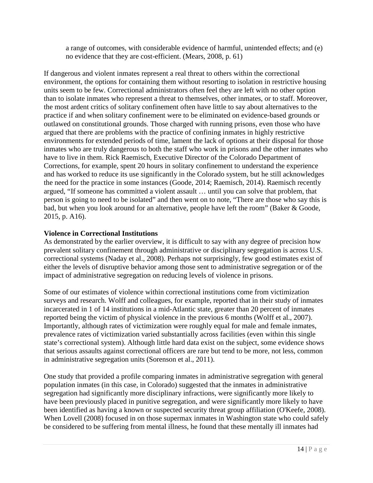a range of outcomes, with considerable evidence of harmful, unintended effects; and (e) no evidence that they are cost-efficient. [\(Mears, 2008, p. 61\)](#page-34-14)

If dangerous and violent inmates represent a real threat to others within the correctional environment, the options for containing them without resorting to isolation in restrictive housing units seem to be few. Correctional administrators often feel they are left with no other option than to isolate inmates who represent a threat to themselves, other inmates, or to staff. Moreover, the most ardent critics of solitary confinement often have little to say about alternatives to the practice if and when solitary confinement were to be eliminated on evidence-based grounds or outlawed on constitutional grounds. Those charged with running prisons, even those who have argued that there are problems with the practice of confining inmates in highly restrictive environments for extended periods of time, lament the lack of options at their disposal for those inmates who are truly dangerous to both the staff who work in prisons and the other inmates who have to live in them. Rick Raemisch, Executive Director of the Colorado Department of Corrections, for example, spent 20 hours in solitary confinement to understand the experience and has worked to reduce its use significantly in the Colorado system, but he still acknowledges the need for the practice in some instances [\(Goode, 2014;](#page-33-8) [Raemisch, 2014\)](#page-35-12). Raemisch recently argued, "If someone has committed a violent assault … until you can solve that problem, that person is going to need to be isolated" and then went on to note, "There are those who say this is bad, but when you look around for an alternative, people have left the room" [\(Baker & Goode,](#page-32-3)  [2015, p. A16\)](#page-32-3).

### <span id="page-17-0"></span>**Violence in Correctional Institutions**

As demonstrated by the earlier overview, it is difficult to say with any degree of precision how prevalent solitary confinement through administrative or disciplinary segregation is across U.S. correctional systems [\(Naday et al., 2008\)](#page-35-2). Perhaps not surprisingly, few good estimates exist of either the levels of disruptive behavior among those sent to administrative segregation or of the impact of administrative segregation on reducing levels of violence in prisons.

Some of our estimates of violence within correctional institutions come from victimization surveys and research. Wolff and colleagues, for example, reported that in their study of inmates incarcerated in 1 of 14 institutions in a mid-Atlantic state, greater than 20 percent of inmates reported being the victim of physical violence in the previous 6 months [\(Wolff et al., 2007\)](#page-37-11). Importantly, although rates of victimization were roughly equal for male and female inmates, prevalence rates of victimization varied substantially across facilities (even within this single state's correctional system). Although little hard data exist on the subject, some evidence shows that serious assaults against correctional officers are rare but tend to be more, not less, common in administrative segregation units [\(Sorenson et al., 2011\)](#page-36-9).

One study that provided a profile comparing inmates in administrative segregation with general population inmates (in this case, in Colorado) suggested that the inmates in administrative segregation had significantly more disciplinary infractions, were significantly more likely to have been previously placed in punitive segregation, and were significantly more likely to have been identified as having a known or suspected security threat group affiliation [\(O'Keefe, 2008\)](#page-35-4). When Lovell (2008) focused in on those supermax inmates in Washington state who could safely be considered to be suffering from mental illness, he found that these mentally ill inmates had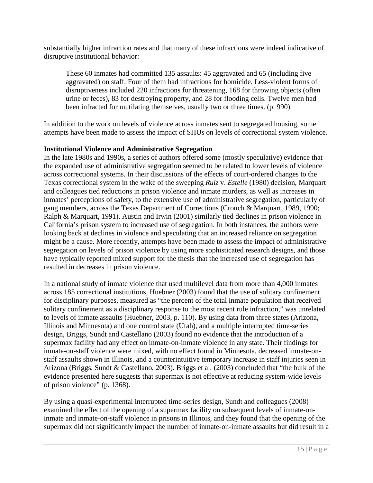substantially higher infraction rates and that many of these infractions were indeed indicative of disruptive institutional behavior:

These 60 inmates had committed 135 assaults: 45 aggravated and 65 (including five aggravated) on staff. Four of them had infractions for homicide. Less-violent forms of disruptiveness included 220 infractions for threatening, 168 for throwing objects (often urine or feces), 83 for destroying property, and 28 for flooding cells. Twelve men had been infracted for mutilating themselves, usually two or three times. [\(p. 990\)](#page-34-11)

In addition to the work on levels of violence across inmates sent to segregated housing, some attempts have been made to assess the impact of SHUs on levels of correctional system violence.

#### <span id="page-18-0"></span>**Institutional Violence and Administrative Segregation**

In the late 1980s and 1990s, a series of authors offered some (mostly speculative) evidence that the expanded use of administrative segregation seemed to be related to lower levels of violence across correctional systems. In their discussions of the effects of court-ordered changes to the Texas correctional system in the wake of the sweeping *Ruiz* v. *Estelle* (1980) decision, Marquart and colleagues tied reductions in prison violence and inmate murders, as well as increases in inmates' perceptions of safety, to the extensive use of administrative segregation, particularly of gang members, across the Texas Department of Corrections [\(Crouch & Marquart, 1989,](#page-32-12) [1990;](#page-32-13) [Ralph & Marquart, 1991\)](#page-35-13). Austin and Irwin (2001) similarly tied declines in prison violence in California's prison system to increased use of segregation. In both instances, the authors were looking back at declines in violence and speculating that an increased reliance on segregation might be a cause. More recently, attempts have been made to assess the impact of administrative segregation on levels of prison violence by using more sophisticated research designs, and those have typically reported mixed support for the thesis that the increased use of segregation has resulted in decreases in prison violence.

In a national study of inmate violence that used multilevel data from more than 4,000 inmates across 185 correctional institutions, Huebner (2003) found that the use of solitary confinement for disciplinary purposes, measured as "the percent of the total inmate population that received solitary confinement as a disciplinary response to the most recent rule infraction," was unrelated to levels of inmate assaults [\(Huebner, 2003, p. 110\)](#page-33-9). By using data from three states (Arizona, Illinois and Minnesota) and one control state (Utah), and a multiple interrupted time-series design, Briggs, Sundt and Castellano (2003) found no evidence that the introduction of a supermax facility had any effect on inmate-on-inmate violence in any state. Their findings for inmate-on-staff violence were mixed, with no effect found in Minnesota, decreased inmate-onstaff assaults shown in Illinois, and a counterintuitive temporary increase in staff injuries seen in Arizona [\(Briggs, Sundt & Castellano, 2003\)](#page-32-14). Briggs et al. (2003) concluded that "the bulk of the evidence presented here suggests that supermax is not effective at reducing system-wide levels of prison violence" (p. 1368).

By using a quasi-experimental interrupted time-series design, Sundt and colleagues [\(2008\)](#page-36-10) examined the effect of the opening of a supermax facility on subsequent levels of inmate-oninmate and inmate-on-staff violence in prisons in Illinois, and they found that the opening of the supermax did not significantly impact the number of inmate-on-inmate assaults but did result in a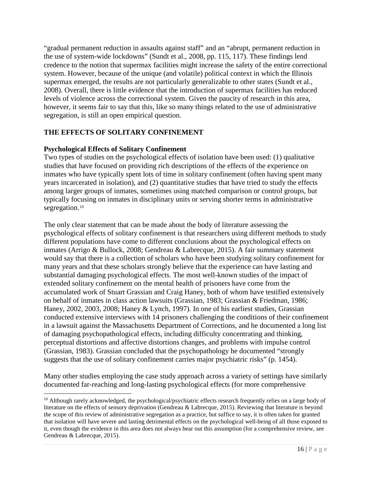"gradual permanent reduction in assaults against staff" and an "abrupt, permanent reduction in the use of system-wide lockdowns" [\(Sundt et al., 2008, pp. 115, 117\)](#page-36-10). These findings lend credence to the notion that supermax facilities might increase the safety of the entire correctional system. However, because of the unique (and volatile) political context in which the Illinois supermax emerged, the results are not particularly generalizable to other states [\(Sundt et al.,](#page-36-10)  [2008\)](#page-36-10). Overall, there is little evidence that the introduction of supermax facilities has reduced levels of violence across the correctional system. Given the paucity of research in this area, however, it seems fair to say that this, like so many things related to the use of administrative segregation, is still an open empirical question.

# <span id="page-19-0"></span>**THE EFFECTS OF SOLITARY CONFINEMENT**

## <span id="page-19-1"></span>**Psychological Effects of Solitary Confinement**

Two types of studies on the psychological effects of isolation have been used: (1) qualitative studies that have focused on providing rich descriptions of the effects of the experience on inmates who have typically spent lots of time in solitary confinement (often having spent many years incarcerated in isolation), and (2) quantitative studies that have tried to study the effects among larger groups of inmates, sometimes using matched comparison or control groups, but typically focusing on inmates in disciplinary units or serving shorter terms in administrative segregation.<sup>[10](#page-19-2)</sup>

The only clear statement that can be made about the body of literature assessing the psychological effects of solitary confinement is that researchers using different methods to study different populations have come to different conclusions about the psychological effects on inmates [\(Arrigo & Bullock, 2008;](#page-32-15) [Gendreau & Labrecque, 2015\)](#page-33-10). A fair summary statement would say that there is a collection of scholars who have been studying solitary confinement for many years and that these scholars strongly believe that the experience can have lasting and substantial damaging psychological effects. The most well-known studies of the impact of extended solitary confinement on the mental health of prisoners have come from the accumulated work of Stuart Grassian and Craig Haney, both of whom have testified extensively on behalf of inmates in class action lawsuits [\(Grassian, 1983;](#page-33-11) [Grassian & Friedman, 1986;](#page-33-12) [Haney, 2002,](#page-33-13) [2003,](#page-33-14) [2008;](#page-33-15) [Haney & Lynch, 1997\)](#page-33-16). In one of his earliest studies, Grassian conducted extensive interviews with 14 prisoners challenging the conditions of their confinement in a lawsuit against the Massachusetts Department of Corrections, and he documented a long list of damaging psychopathological effects, including difficulty concentrating and thinking, perceptual distortions and affective distortions changes, and problems with impulse control [\(Grassian, 1983\)](#page-33-11). Grassian concluded that the psychopathology he documented "strongly suggests that the use of solitary confinement carries major psychiatric risks" (p. 1454).

Many other studies employing the case study approach across a variety of settings have similarly documented far-reaching and long-lasting psychological effects (for more comprehensive

<span id="page-19-2"></span><sup>&</sup>lt;sup>10</sup> Although rarely acknowledged, the psychological/psychiatric effects research frequently relies on a large body of literature on the effects of sensory deprivation [\(Gendreau & Labrecque, 2015\)](#page-33-10). Reviewing that literature is beyond the scope of this review of administrative segregation as a practice, but suffice to say, it is often taken for granted that isolation will have severe and lasting detrimental effects on the psychological well-being of all those exposed to it, even though the evidence in this area does not always bear out this assumption (for a comprehensive review, see Gendreau & Labrecque, 2015).  $\overline{\phantom{a}}$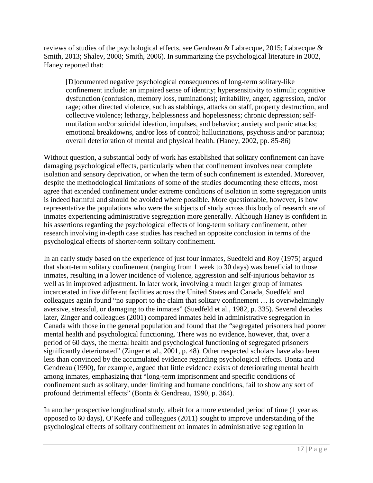reviews of studies of the psychological effects, see [Gendreau & Labrecque, 2015;](#page-33-10) [Labrecque &](#page-34-15)  [Smith, 2013;](#page-34-15) [Shalev, 2008;](#page-36-11) [Smith, 2006\)](#page-36-12). In summarizing the psychological literature in 2002, Haney reported that:

[D]ocumented negative psychological consequences of long-term solitary-like confinement include: an impaired sense of identity; hypersensitivity to stimuli; cognitive dysfunction (confusion, memory loss, ruminations); irritability, anger, aggression, and/or rage; other directed violence, such as stabbings, attacks on staff, property destruction, and collective violence; lethargy, helplessness and hopelessness; chronic depression; selfmutilation and/or suicidal ideation, impulses, and behavior; anxiety and panic attacks; emotional breakdowns, and/or loss of control; hallucinations, psychosis and/or paranoia; overall deterioration of mental and physical health. [\(Haney, 2002, pp. 85-86\)](#page-33-13)

Without question, a substantial body of work has established that solitary confinement can have damaging psychological effects, particularly when that confinement involves near complete isolation and sensory deprivation, or when the term of such confinement is extended. Moreover, despite the methodological limitations of some of the studies documenting these effects, most agree that extended confinement under extreme conditions of isolation in some segregation units is indeed harmful and should be avoided where possible. More questionable, however, is how representative the populations who were the subjects of study across this body of research are of inmates experiencing administrative segregation more generally. Although Haney is confident in his assertions regarding the psychological effects of long-term solitary confinement, other research involving in-depth case studies has reached an opposite conclusion in terms of the psychological effects of shorter-term solitary confinement.

In an early study based on the experience of just four inmates, Suedfeld and Roy [\(1975\)](#page-36-13) argued that short-term solitary confinement (ranging from 1 week to 30 days) was beneficial to those inmates, resulting in a lower incidence of violence, aggression and self-injurious behavior as well as in improved adjustment. In later work, involving a much larger group of inmates incarcerated in five different facilities across the United States and Canada, Suedfeld and colleagues again found "no support to the claim that solitary confinement … is overwhelmingly aversive, stressful, or damaging to the inmates" [\(Suedfeld et al., 1982, p. 335\)](#page-36-14). Several decades later, Zinger and colleagues [\(2001\)](#page-37-12) compared inmates held in administrative segregation in Canada with those in the general population and found that the "segregated prisoners had poorer mental health and psychological functioning. There was no evidence, however, that, over a period of 60 days, the mental health and psychological functioning of segregated prisoners significantly deteriorated" [\(Zinger et al., 2001, p. 48\)](#page-37-12). Other respected scholars have also been less than convinced by the accumulated evidence regarding psychological effects. Bonta and Gendreau (1990), for example, argued that little evidence exists of deteriorating mental health among inmates, emphasizing that "long-term imprisonment and specific conditions of confinement such as solitary, under limiting and humane conditions, fail to show any sort of profound detrimental effects" [\(Bonta & Gendreau, 1990, p. 364\)](#page-32-16).

In another prospective longitudinal study, albeit for a more extended period of time (1 year as opposed to 60 days), O'Keefe and colleagues (2011) sought to improve understanding of the psychological effects of solitary confinement on inmates in administrative segregation in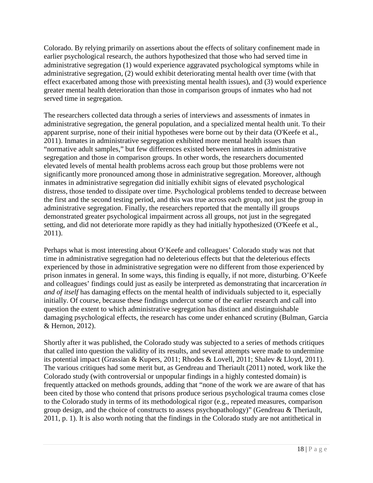Colorado. By relying primarily on assertions about the effects of solitary confinement made in earlier psychological research, the authors hypothesized that those who had served time in administrative segregation (1) would experience aggravated psychological symptoms while in administrative segregation, (2) would exhibit deteriorating mental health over time (with that effect exacerbated among those with preexisting mental health issues), and (3) would experience greater mental health deterioration than those in comparison groups of inmates who had not served time in segregation.

The researchers collected data through a series of interviews and assessments of inmates in administrative segregation, the general population, and a specialized mental health unit. To their apparent surprise, none of their initial hypotheses were borne out by their data [\(O'Keefe et al.,](#page-35-6)  [2011\)](#page-35-6). Inmates in administrative segregation exhibited more mental health issues than "normative adult samples," but few differences existed between inmates in administrative segregation and those in comparison groups. In other words, the researchers documented elevated levels of mental health problems across each group but those problems were not significantly more pronounced among those in administrative segregation. Moreover, although inmates in administrative segregation did initially exhibit signs of elevated psychological distress, those tended to dissipate over time. Psychological problems tended to decrease between the first and the second testing period, and this was true across each group, not just the group in administrative segregation. Finally, the researchers reported that the mentally ill groups demonstrated greater psychological impairment across all groups, not just in the segregated setting, and did not deteriorate more rapidly as they had initially hypothesized [\(O'Keefe et al.,](#page-35-6)  [2011\)](#page-35-6).

Perhaps what is most interesting about O'Keefe and colleagues' Colorado study was not that time in administrative segregation had no deleterious effects but that the deleterious effects experienced by those in administrative segregation were no different from those experienced by prison inmates in general. In some ways, this finding is equally, if not more, disturbing. O'Keefe and colleagues' findings could just as easily be interpreted as demonstrating that incarceration *in and of itself* has damaging effects on the mental health of individuals subjected to it, especially initially. Of course, because these findings undercut some of the earlier research and call into question the extent to which administrative segregation has distinct and distinguishable damaging psychological effects, the research has come under enhanced scrutiny [\(Bulman, Garcia](#page-32-17)  [& Hernon, 2012\)](#page-32-17).

Shortly after it was published, the Colorado study was subjected to a series of methods critiques that called into question the validity of its results, and several attempts were made to undermine its potential impact [\(Grassian & Kupers, 2011;](#page-33-17) [Rhodes & Lovell, 2011;](#page-36-15) [Shalev & Lloyd, 2011\)](#page-36-16). The various critiques had some merit but, as Gendreau and Theriault (2011) noted, work like the Colorado study (with controversial or unpopular findings in a highly contested domain) is frequently attacked on methods grounds, adding that "none of the work we are aware of that has been cited by those who contend that prisons produce serious psychological trauma comes close to the Colorado study in terms of its methodological rigor (e.g., repeated measures, comparison group design, and the choice of constructs to assess psychopathology)" [\(Gendreau & Theriault,](#page-33-18)  [2011, p. 1\)](#page-33-18). It is also worth noting that the findings in the Colorado study are not antithetical in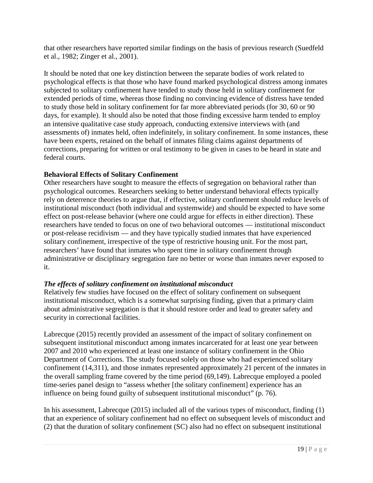that other researchers have reported similar findings on the basis of previous research [\(Suedfeld](#page-36-14)  [et al., 1982;](#page-36-14) [Zinger et al., 2001\)](#page-37-12).

It should be noted that one key distinction between the separate bodies of work related to psychological effects is that those who have found marked psychological distress among inmates subjected to solitary confinement have tended to study those held in solitary confinement for extended periods of time, whereas those finding no convincing evidence of distress have tended to study those held in solitary confinement for far more abbreviated periods (for 30, 60 or 90 days, for example). It should also be noted that those finding excessive harm tended to employ an intensive qualitative case study approach, conducting extensive interviews with (and assessments of) inmates held, often indefinitely, in solitary confinement. In some instances, these have been experts, retained on the behalf of inmates filing claims against departments of corrections, preparing for written or oral testimony to be given in cases to be heard in state and federal courts.

### <span id="page-22-0"></span>**Behavioral Effects of Solitary Confinement**

Other researchers have sought to measure the effects of segregation on behavioral rather than psychological outcomes. Researchers seeking to better understand behavioral effects typically rely on deterrence theories to argue that, if effective, solitary confinement should reduce levels of institutional misconduct (both individual and systemwide) and should be expected to have some effect on post-release behavior (where one could argue for effects in either direction). These researchers have tended to focus on one of two behavioral outcomes — institutional misconduct or post-release recidivism — and they have typically studied inmates that have experienced solitary confinement, irrespective of the type of restrictive housing unit. For the most part, researchers' have found that inmates who spent time in solitary confinement through administrative or disciplinary segregation fare no better or worse than inmates never exposed to it.

### <span id="page-22-1"></span>*The effects of solitary confinement on institutional misconduct*

Relatively few studies have focused on the effect of solitary confinement on subsequent institutional misconduct, which is a somewhat surprising finding, given that a primary claim about administrative segregation is that it should restore order and lead to greater safety and security in correctional facilities.

Labrecque (2015) recently provided an assessment of the impact of solitary confinement on subsequent institutional misconduct among inmates incarcerated for at least one year between 2007 and 2010 who experienced at least one instance of solitary confinement in the Ohio Department of Corrections. The study focused solely on those who had experienced solitary confinement (14,311), and those inmates represented approximately 21 percent of the inmates in the overall sampling frame covered by the time period (69,149). Labrecque employed a pooled time-series panel design to "assess whether [the solitary confinement] experience has an influence on being found guilty of subsequent institutional misconduct" (p. 76).

In his assessment, Labrecque (2015) included all of the various types of misconduct, finding (1) that an experience of solitary confinement had no effect on subsequent levels of misconduct and (2) that the duration of solitary confinement (SC) also had no effect on subsequent institutional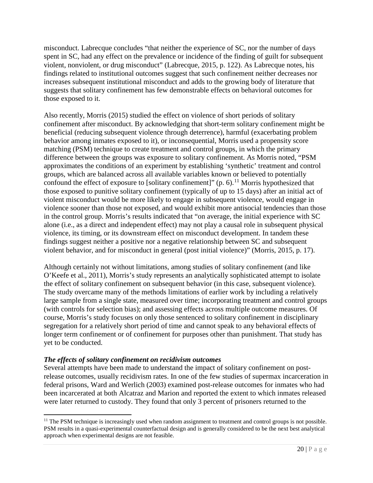misconduct. Labrecque concludes "that neither the experience of SC, nor the number of days spent in SC, had any effect on the prevalence or incidence of the finding of guilt for subsequent violent, nonviolent, or drug misconduct" [\(Labrecque, 2015, p. 122\)](#page-34-16). As Labrecque notes, his findings related to institutional outcomes suggest that such confinement neither decreases nor increases subsequent institutional misconduct and adds to the growing body of literature that suggests that solitary confinement has few demonstrable effects on behavioral outcomes for those exposed to it.

Also recently, Morris (2015) studied the effect on violence of short periods of solitary confinement after misconduct. By acknowledging that short-term solitary confinement might be beneficial (reducing subsequent violence through deterrence), harmful (exacerbating problem behavior among inmates exposed to it), or inconsequential, Morris used a propensity score matching (PSM) technique to create treatment and control groups, in which the primary difference between the groups was exposure to solitary confinement. As Morris noted, "PSM approximates the conditions of an experiment by establishing 'synthetic' treatment and control groups, which are balanced across all available variables known or believed to potentially confound the effect of exposure to [solitary confinement]" (p. 6).<sup>[11](#page-23-1)</sup> Morris hypothesized that those exposed to punitive solitary confinement (typically of up to 15 days) after an initial act of violent misconduct would be more likely to engage in subsequent violence, would engage in violence sooner than those not exposed, and would exhibit more antisocial tendencies than those in the control group. Morris's results indicated that "on average, the initial experience with SC alone (i.e., as a direct and independent effect) may not play a causal role in subsequent physical violence, its timing, or its downstream effect on misconduct development. In tandem these findings suggest neither a positive nor a negative relationship between SC and subsequent violent behavior, and for misconduct in general (post initial violence)" [\(Morris, 2015, p. 17\)](#page-35-14).

Although certainly not without limitations, among studies of solitary confinement (and like O'Keefe et al., 2011), Morris's study represents an analytically sophisticated attempt to isolate the effect of solitary confinement on subsequent behavior (in this case, subsequent violence). The study overcame many of the methods limitations of earlier work by including a relatively large sample from a single state, measured over time; incorporating treatment and control groups (with controls for selection bias); and assessing effects across multiple outcome measures. Of course, Morris's study focuses on only those sentenced to solitary confinement in disciplinary segregation for a relatively short period of time and cannot speak to any behavioral effects of longer term confinement or of confinement for purposes other than punishment. That study has yet to be conducted.

### <span id="page-23-0"></span>*The effects of solitary confinement on recidivism outcomes*

 $\overline{\phantom{a}}$ 

Several attempts have been made to understand the impact of solitary confinement on postrelease outcomes, usually recidivism rates. In one of the few studies of supermax incarceration in federal prisons, Ward and Werlich (2003) examined post-release outcomes for inmates who had been incarcerated at both Alcatraz and Marion and reported the extent to which inmates released were later returned to custody. They found that only 3 percent of prisoners returned to the

<span id="page-23-1"></span> $<sup>11</sup>$  The PSM technique is increasingly used when random assignment to treatment and control groups is not possible.</sup> PSM results in a quasi-experimental counterfactual design and is generally considered to be the next best analytical approach when experimental designs are not feasible.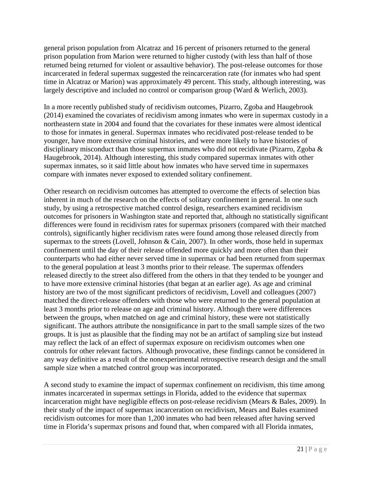general prison population from Alcatraz and 16 percent of prisoners returned to the general prison population from Marion were returned to higher custody (with less than half of those returned being returned for violent or assaultive behavior). The post-release outcomes for those incarcerated in federal supermax suggested the reincarceration rate (for inmates who had spent time in Alcatraz or Marion) was approximately 49 percent. This study, although interesting, was largely descriptive and included no control or comparison group [\(Ward & Werlich, 2003\)](#page-37-6).

In a more recently published study of recidivism outcomes, Pizarro, Zgoba and Haugebrook (2014) examined the covariates of recidivism among inmates who were in supermax custody in a northeastern state in 2004 and found that the covariates for these inmates were almost identical to those for inmates in general. Supermax inmates who recidivated post-release tended to be younger, have more extensive criminal histories, and were more likely to have histories of disciplinary misconduct than those supermax inmates who did not recidivate [\(Pizarro, Zgoba &](#page-35-15)  [Haugebrook, 2014\)](#page-35-15). Although interesting, this study compared supermax inmates with other supermax inmates, so it said little about how inmates who have served time in supermaxes compare with inmates never exposed to extended solitary confinement.

Other research on recidivism outcomes has attempted to overcome the effects of selection bias inherent in much of the research on the effects of solitary confinement in general. In one such study, by using a retrospective matched control design, researchers examined recidivism outcomes for prisoners in Washington state and reported that, although no statistically significant differences were found in recidivism rates for supermax prisoners (compared with their matched controls), significantly higher recidivism rates were found among those released directly from supermax to the streets [\(Lovell, Johnson & Cain, 2007\)](#page-34-17). In other words, those held in supermax confinement until the day of their release offended more quickly and more often than their counterparts who had either never served time in supermax or had been returned from supermax to the general population at least 3 months prior to their release. The supermax offenders released directly to the street also differed from the others in that they tended to be younger and to have more extensive criminal histories (that began at an earlier age). As age and criminal history are two of the most significant predictors of recidivism, Lovell and colleagues (2007) matched the direct-release offenders with those who were returned to the general population at least 3 months prior to release on age and criminal history. Although there were differences between the groups, when matched on age and criminal history, these were not statistically significant. The authors attribute the nonsignificance in part to the small sample sizes of the two groups. It is just as plausible that the finding may not be an artifact of sampling size but instead may reflect the lack of an effect of supermax exposure on recidivism outcomes when one controls for other relevant factors. Although provocative, these findings cannot be considered in any way definitive as a result of the nonexperimental retrospective research design and the small sample size when a matched control group was incorporated.

A second study to examine the impact of supermax confinement on recidivism, this time among inmates incarcerated in supermax settings in Florida, added to the evidence that supermax incarceration might have negligible effects on post-release recidivism [\(Mears & Bales, 2009\)](#page-34-18). In their study of the impact of supermax incarceration on recidivism, Mears and Bales examined recidivism outcomes for more than 1,200 inmates who had been released after having served time in Florida's supermax prisons and found that, when compared with all Florida inmates,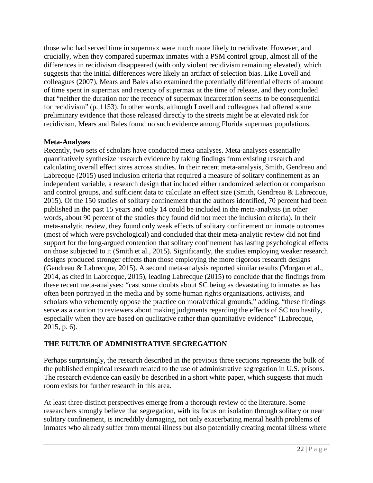those who had served time in supermax were much more likely to recidivate. However, and crucially, when they compared supermax inmates with a PSM control group, almost all of the differences in recidivism disappeared (with only violent recidivism remaining elevated), which suggests that the initial differences were likely an artifact of selection bias. Like Lovell and colleagues (2007), Mears and Bales also examined the potentially differential effects of amount of time spent in supermax and recency of supermax at the time of release, and they concluded that "neither the duration nor the recency of supermax incarceration seems to be consequential for recidivism" (p. 1153). In other words, although Lovell and colleagues had offered some preliminary evidence that those released directly to the streets might be at elevated risk for recidivism, Mears and Bales found no such evidence among Florida supermax populations.

### <span id="page-25-0"></span>**Meta-Analyses**

Recently, two sets of scholars have conducted meta-analyses. Meta-analyses essentially quantitatively synthesize research evidence by taking findings from existing research and calculating overall effect sizes across studies. In their recent meta-analysis, Smith, Gendreau and Labrecque (2015) used inclusion criteria that required a measure of solitary confinement as an independent variable, a research design that included either randomized selection or comparison and control groups, and sufficient data to calculate an effect size [\(Smith, Gendreau & Labrecque,](#page-36-17)  [2015\)](#page-36-17). Of the 150 studies of solitary confinement that the authors identified, 70 percent had been published in the past 15 years and only 14 could be included in the meta-analysis (in other words, about 90 percent of the studies they found did not meet the inclusion criteria). In their meta-analytic review, they found only weak effects of solitary confinement on inmate outcomes (most of which were psychological) and concluded that their meta-analytic review did not find support for the long-argued contention that solitary confinement has lasting psychological effects on those subjected to it (Smith et al., 2015). Significantly, the studies employing weaker research designs produced stronger effects than those employing the more rigorous research designs [\(Gendreau & Labrecque, 2015\)](#page-33-10). A second meta-analysis reported similar results [\(Morgan et al.,](#page-35-16)  2014, [as cited in Labrecque,](#page-35-16) 2015), leading Labrecque (2015) to conclude that the findings from these recent meta-analyses: "cast some doubts about SC being as devastating to inmates as has often been portrayed in the media and by some human rights organizations, activists, and scholars who vehemently oppose the practice on moral/ethical grounds," adding, "these findings serve as a caution to reviewers about making judgments regarding the effects of SC too hastily, especially when they are based on qualitative rather than quantitative evidence" [\(Labrecque,](#page-34-16)  [2015, p. 6\)](#page-34-16).

# <span id="page-25-1"></span>**THE FUTURE OF ADMINISTRATIVE SEGREGATION**

Perhaps surprisingly, the research described in the previous three sections represents the bulk of the published empirical research related to the use of administrative segregation in U.S. prisons. The research evidence can easily be described in a short white paper, which suggests that much room exists for further research in this area.

At least three distinct perspectives emerge from a thorough review of the literature. Some researchers strongly believe that segregation, with its focus on isolation through solitary or near solitary confinement, is incredibly damaging, not only exacerbating mental health problems of inmates who already suffer from mental illness but also potentially creating mental illness where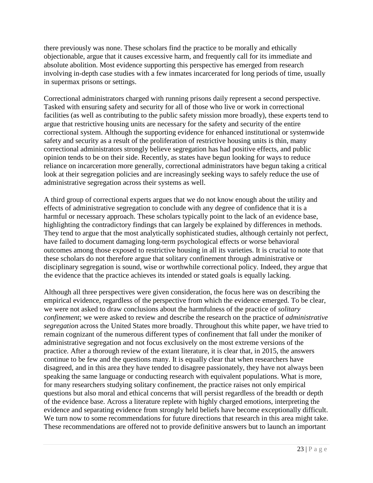there previously was none. These scholars find the practice to be morally and ethically objectionable, argue that it causes excessive harm, and frequently call for its immediate and absolute abolition. Most evidence supporting this perspective has emerged from research involving in-depth case studies with a few inmates incarcerated for long periods of time, usually in supermax prisons or settings.

Correctional administrators charged with running prisons daily represent a second perspective. Tasked with ensuring safety and security for all of those who live or work in correctional facilities (as well as contributing to the public safety mission more broadly), these experts tend to argue that restrictive housing units are necessary for the safety and security of the entire correctional system. Although the supporting evidence for enhanced institutional or systemwide safety and security as a result of the proliferation of restrictive housing units is thin, many correctional administrators strongly believe segregation has had positive effects, and public opinion tends to be on their side. Recently, as states have begun looking for ways to reduce reliance on incarceration more generally, correctional administrators have begun taking a critical look at their segregation policies and are increasingly seeking ways to safely reduce the use of administrative segregation across their systems as well.

A third group of correctional experts argues that we do not know enough about the utility and effects of administrative segregation to conclude with any degree of confidence that it is a harmful or necessary approach. These scholars typically point to the lack of an evidence base, highlighting the contradictory findings that can largely be explained by differences in methods. They tend to argue that the most analytically sophisticated studies, although certainly not perfect, have failed to document damaging long-term psychological effects or worse behavioral outcomes among those exposed to restrictive housing in all its varieties. It is crucial to note that these scholars do not therefore argue that solitary confinement through administrative or disciplinary segregation is sound, wise or worthwhile correctional policy. Indeed, they argue that the evidence that the practice achieves its intended or stated goals is equally lacking.

Although all three perspectives were given consideration, the focus here was on describing the empirical evidence, regardless of the perspective from which the evidence emerged. To be clear, we were not asked to draw conclusions about the harmfulness of the practice of *solitary confinement*; we were asked to review and describe the research on the practice of *administrative segregation* across the United States more broadly. Throughout this white paper, we have tried to remain cognizant of the numerous different types of confinement that fall under the moniker of administrative segregation and not focus exclusively on the most extreme versions of the practice. After a thorough review of the extant literature, it is clear that, in 2015, the answers continue to be few and the questions many. It is equally clear that when researchers have disagreed, and in this area they have tended to disagree passionately, they have not always been speaking the same language or conducting research with equivalent populations. What is more, for many researchers studying solitary confinement, the practice raises not only empirical questions but also moral and ethical concerns that will persist regardless of the breadth or depth of the evidence base. Across a literature replete with highly charged emotions, interpreting the evidence and separating evidence from strongly held beliefs have become exceptionally difficult. We turn now to some recommendations for future directions that research in this area might take. These recommendations are offered not to provide definitive answers but to launch an important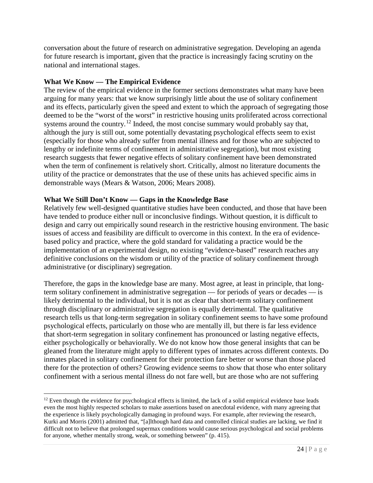conversation about the future of research on administrative segregation. Developing an agenda for future research is important, given that the practice is increasingly facing scrutiny on the national and international stages.

### <span id="page-27-0"></span>**What We Know — The Empirical Evidence**

 $\overline{\phantom{a}}$ 

The review of the empirical evidence in the former sections demonstrates what many have been arguing for many years: that we know surprisingly little about the use of solitary confinement and its effects, particularly given the speed and extent to which the approach of segregating those deemed to be the "worst of the worst" in restrictive housing units proliferated across correctional systems around the country.<sup>[12](#page-27-2)</sup> Indeed, the most concise summary would probably say that, although the jury is still out, some potentially devastating psychological effects seem to exist (especially for those who already suffer from mental illness and for those who are subjected to lengthy or indefinite terms of confinement in administrative segregation), but most existing research suggests that fewer negative effects of solitary confinement have been demonstrated when the term of confinement is relatively short. Critically, almost no literature documents the utility of the practice or demonstrates that the use of these units has achieved specific aims in demonstrable ways (Mears & Watson, 2006; Mears 2008).

### <span id="page-27-1"></span>**What We Still Don't Know — Gaps in the Knowledge Base**

Relatively few well-designed quantitative studies have been conducted, and those that have been have tended to produce either null or inconclusive findings. Without question, it is difficult to design and carry out empirically sound research in the restrictive housing environment. The basic issues of access and feasibility are difficult to overcome in this context. In the era of evidencebased policy and practice, where the gold standard for validating a practice would be the implementation of an experimental design, no existing "evidence-based" research reaches any definitive conclusions on the wisdom or utility of the practice of solitary confinement through administrative (or disciplinary) segregation.

Therefore, the gaps in the knowledge base are many. Most agree, at least in principle, that longterm solitary confinement in administrative segregation — for periods of years or decades — is likely detrimental to the individual, but it is not as clear that short-term solitary confinement through disciplinary or administrative segregation is equally detrimental. The qualitative research tells us that long-term segregation in solitary confinement seems to have some profound psychological effects, particularly on those who are mentally ill, but there is far less evidence that short-term segregation in solitary confinement has pronounced or lasting negative effects, either psychologically or behaviorally. We do not know how those general insights that can be gleaned from the literature might apply to different types of inmates across different contexts. Do inmates placed in solitary confinement for their protection fare better or worse than those placed there for the protection of others? Growing evidence seems to show that those who enter solitary confinement with a serious mental illness do not fare well, but are those who are not suffering

<span id="page-27-2"></span> $12$  Even though the evidence for psychological effects is limited, the lack of a solid empirical evidence base leads even the most highly respected scholars to make assertions based on anecdotal evidence, with many agreeing that the experience is likely psychologically damaging in profound ways. For example, after reviewing the research, Kurki and Morris (2001) admitted that, "[a]lthough hard data and controlled clinical studies are lacking, we find it difficult not to believe that prolonged supermax conditions would cause serious psychological and social problems for anyone, whether mentally strong, weak, or something between" (p. 415).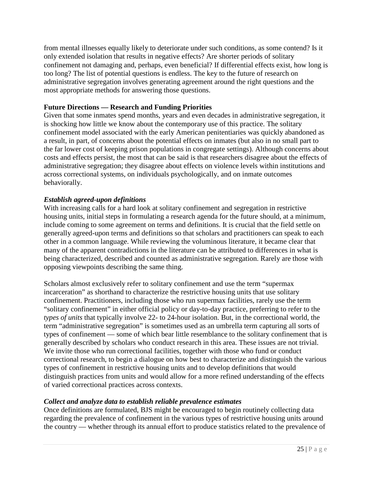from mental illnesses equally likely to deteriorate under such conditions, as some contend? Is it only extended isolation that results in negative effects? Are shorter periods of solitary confinement not damaging and, perhaps, even beneficial? If differential effects exist, how long is too long? The list of potential questions is endless. The key to the future of research on administrative segregation involves generating agreement around the right questions and the most appropriate methods for answering those questions.

## <span id="page-28-0"></span>**Future Directions — Research and Funding Priorities**

Given that some inmates spend months, years and even decades in administrative segregation, it is shocking how little we know about the contemporary use of this practice. The solitary confinement model associated with the early American penitentiaries was quickly abandoned as a result, in part, of concerns about the potential effects on inmates (but also in no small part to the far lower cost of keeping prison populations in congregate settings). Although concerns about costs and effects persist, the most that can be said is that researchers disagree about the effects of administrative segregation; they disagree about effects on violence levels within institutions and across correctional systems, on individuals psychologically, and on inmate outcomes behaviorally.

## <span id="page-28-1"></span>*Establish agreed-upon definitions*

With increasing calls for a hard look at solitary confinement and segregation in restrictive housing units, initial steps in formulating a research agenda for the future should, at a minimum, include coming to some agreement on terms and definitions. It is crucial that the field settle on generally agreed-upon terms and definitions so that scholars and practitioners can speak to each other in a common language. While reviewing the voluminous literature, it became clear that many of the apparent contradictions in the literature can be attributed to differences in what is being characterized, described and counted as administrative segregation. Rarely are those with opposing viewpoints describing the same thing.

Scholars almost exclusively refer to solitary confinement and use the term "supermax incarceration" as shorthand to characterize the restrictive housing units that use solitary confinement. Practitioners, including those who run supermax facilities, rarely use the term "solitary confinement" in either official policy or day-to-day practice, preferring to refer to the *types of units* that typically involve 22- to 24-hour isolation. But, in the correctional world, the term "administrative segregation" is sometimes used as an umbrella term capturing all sorts of types of confinement — some of which bear little resemblance to the solitary confinement that is generally described by scholars who conduct research in this area. These issues are not trivial. We invite those who run correctional facilities, together with those who fund or conduct correctional research, to begin a dialogue on how best to characterize and distinguish the various types of confinement in restrictive housing units and to develop definitions that would distinguish practices from units and would allow for a more refined understanding of the effects of varied correctional practices across contexts.

### <span id="page-28-2"></span>*Collect and analyze data to establish reliable prevalence estimates*

Once definitions are formulated, BJS might be encouraged to begin routinely collecting data regarding the prevalence of confinement in the various types of restrictive housing units around the country — whether through its annual effort to produce statistics related to the prevalence of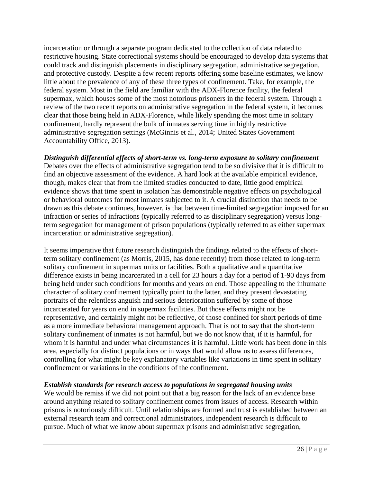incarceration or through a separate program dedicated to the collection of data related to restrictive housing. State correctional systems should be encouraged to develop data systems that could track and distinguish placements in disciplinary segregation, administrative segregation, and protective custody. Despite a few recent reports offering some baseline estimates, we know little about the prevalence of any of these three types of confinement. Take, for example, the federal system. Most in the field are familiar with the ADX-Florence facility, the federal supermax, which houses some of the most notorious prisoners in the federal system. Through a review of the two recent reports on administrative segregation in the federal system, it becomes clear that those being held in ADX-Florence, while likely spending the most time in solitary confinement, hardly represent the bulk of inmates serving time in highly restrictive administrative segregation settings [\(McGinnis et al., 2014;](#page-34-2) [United States Government](#page-37-4) [Accountability Office, 2013\)](#page-37-4).

# <span id="page-29-0"></span>*Distinguish differential effects of short-term vs. long-term exposure to solitary confinement*

Debates over the effects of administrative segregation tend to be so divisive that it is difficult to find an objective assessment of the evidence. A hard look at the available empirical evidence, though, makes clear that from the limited studies conducted to date, little good empirical evidence shows that time spent in isolation has demonstrable negative effects on psychological or behavioral outcomes for most inmates subjected to it. A crucial distinction that needs to be drawn as this debate continues, however, is that between time-limited segregation imposed for an infraction or series of infractions (typically referred to as disciplinary segregation) versus longterm segregation for management of prison populations (typically referred to as either supermax incarceration or administrative segregation).

It seems imperative that future research distinguish the findings related to the effects of shortterm solitary confinement (as Morris, 2015, has done recently) from those related to long-term solitary confinement in supermax units or facilities. Both a qualitative and a quantitative difference exists in being incarcerated in a cell for 23 hours a day for a period of 1-90 days from being held under such conditions for months and years on end. Those appealing to the inhumane character of solitary confinement typically point to the latter, and they present devastating portraits of the relentless anguish and serious deterioration suffered by some of those incarcerated for years on end in supermax facilities. But those effects might not be representative, and certainly might not be reflective, of those confined for short periods of time as a more immediate behavioral management approach. That is not to say that the short-term solitary confinement of inmates is not harmful, but we do not know that, if it is harmful, for whom it is harmful and under what circumstances it is harmful. Little work has been done in this area, especially for distinct populations or in ways that would allow us to assess differences, controlling for what might be key explanatory variables like variations in time spent in solitary confinement or variations in the conditions of the confinement.

### <span id="page-29-1"></span>*Establish standards for research access to populations in segregated housing units*

We would be remiss if we did not point out that a big reason for the lack of an evidence base around anything related to solitary confinement comes from issues of access. Research within prisons is notoriously difficult. Until relationships are formed and trust is established between an external research team and correctional administrators, independent research is difficult to pursue. Much of what we know about supermax prisons and administrative segregation,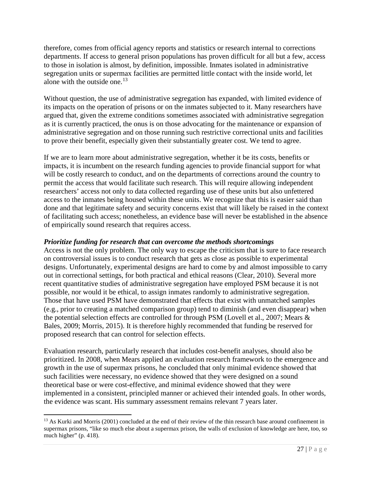therefore, comes from official agency reports and statistics or research internal to corrections departments. If access to general prison populations has proven difficult for all but a few, access to those in isolation is almost, by definition, impossible. Inmates isolated in administrative segregation units or supermax facilities are permitted little contact with the inside world, let alone with the outside one.<sup>[13](#page-30-1)</sup>

Without question, the use of administrative segregation has expanded, with limited evidence of its impacts on the operation of prisons or on the inmates subjected to it. Many researchers have argued that, given the extreme conditions sometimes associated with administrative segregation as it is currently practiced, the onus is on those advocating for the maintenance or expansion of administrative segregation and on those running such restrictive correctional units and facilities to prove their benefit, especially given their substantially greater cost. We tend to agree.

If we are to learn more about administrative segregation, whether it be its costs, benefits or impacts, it is incumbent on the research funding agencies to provide financial support for what will be costly research to conduct, and on the departments of corrections around the country to permit the access that would facilitate such research. This will require allowing independent researchers' access not only to data collected regarding use of these units but also unfettered access to the inmates being housed within these units. We recognize that this is easier said than done and that legitimate safety and security concerns exist that will likely be raised in the context of facilitating such access; nonetheless, an evidence base will never be established in the absence of empirically sound research that requires access.

### <span id="page-30-0"></span>*Prioritize funding for research that can overcome the methods shortcomings*

Access is not the only problem. The only way to escape the criticism that is sure to face research on controversial issues is to conduct research that gets as close as possible to experimental designs. Unfortunately, experimental designs are hard to come by and almost impossible to carry out in correctional settings, for both practical and ethical reasons [\(Clear, 2010\)](#page-32-18). Several more recent quantitative studies of administrative segregation have employed PSM because it is not possible, nor would it be ethical, to assign inmates randomly to administrative segregation. Those that have used PSM have demonstrated that effects that exist with unmatched samples (e.g., prior to creating a matched comparison group) tend to diminish (and even disappear) when the potential selection effects are controlled for through PSM [\(Lovell et al., 2007;](#page-34-17) [Mears &](#page-34-18)  [Bales, 2009;](#page-34-18) [Morris, 2015\)](#page-35-14). It is therefore highly recommended that funding be reserved for proposed research that can control for selection effects.

Evaluation research, particularly research that includes cost-benefit analyses, should also be prioritized. In 2008, when Mears applied an evaluation research framework to the emergence and growth in the use of supermax prisons, he concluded that only minimal evidence showed that such facilities were necessary, no evidence showed that they were designed on a sound theoretical base or were cost-effective, and minimal evidence showed that they were implemented in a consistent, principled manner or achieved their intended goals. In other words, the evidence was scant. His summary assessment remains relevant 7 years later.

<span id="page-30-1"></span><sup>&</sup>lt;sup>13</sup> As Kurki and Morris (2001) concluded at the end of their review of the thin research base around confinement in supermax prisons, "like so much else about a supermax prison, the walls of exclusion of knowledge are here, too, so much higher" (p. 418).  $\overline{\phantom{a}}$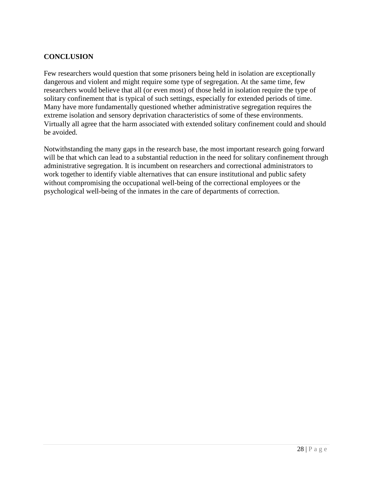## <span id="page-31-0"></span>**CONCLUSION**

Few researchers would question that some prisoners being held in isolation are exceptionally dangerous and violent and might require some type of segregation. At the same time, few researchers would believe that all (or even most) of those held in isolation require the type of solitary confinement that is typical of such settings, especially for extended periods of time. Many have more fundamentally questioned whether administrative segregation requires the extreme isolation and sensory deprivation characteristics of some of these environments. Virtually all agree that the harm associated with extended solitary confinement could and should be avoided.

Notwithstanding the many gaps in the research base, the most important research going forward will be that which can lead to a substantial reduction in the need for solitary confinement through administrative segregation. It is incumbent on researchers and correctional administrators to work together to identify viable alternatives that can ensure institutional and public safety without compromising the occupational well-being of the correctional employees or the psychological well-being of the inmates in the care of departments of correction.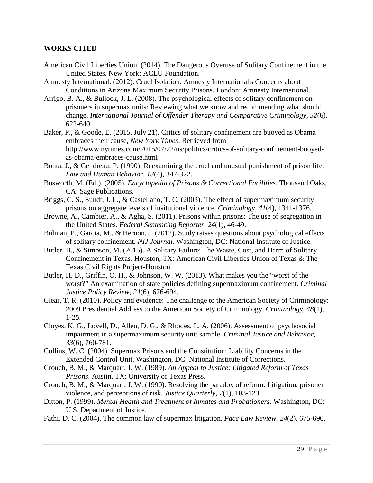#### <span id="page-32-0"></span>**WORKS CITED**

- <span id="page-32-1"></span>American Civil Liberties Union. (2014). The Dangerous Overuse of Solitary Confinement in the United States. New York: ACLU Foundation.
- <span id="page-32-2"></span>Amnesty International. (2012). Cruel Isolation: Amnesty International's Concerns about Conditions in Arizona Maximum Security Prisons. London: Amnesty International.
- <span id="page-32-15"></span>Arrigo, B. A., & Bullock, J. L. (2008). The psychological effects of solitary confinement on prisoners in supermax units: Reviewing what we know and recommending what should change. *International Journal of Offender Therapy and Comparative Criminology, 52*(6), 622-640.
- <span id="page-32-3"></span>Baker, P., & Goode, E. (2015, July 21). Critics of solitary confinement are buoyed as Obama embraces their cause, *New York Times*. Retrieved from [http://www.nytimes.com/2015/07/22/us/politics/critics-of-solitary-confinement-buoyed](http://www.nytimes.com/2015/07/22/us/politics/critics-of-solitary-confinement-buoyed-as-obama-embraces-cause.html)[as-obama-embraces-cause.html](http://www.nytimes.com/2015/07/22/us/politics/critics-of-solitary-confinement-buoyed-as-obama-embraces-cause.html)
- <span id="page-32-16"></span>Bonta, J., & Gendreau, P. (1990). Reexamining the cruel and unusual punishment of prison life. *Law and Human Behavior, 13*(4), 347-372.
- <span id="page-32-5"></span>Bosworth, M. (Ed.). (2005). *Encyclopedia of Prisons & Correctional Facilities.* Thousand Oaks, CA: Sage Publications.
- <span id="page-32-14"></span>Briggs, C. S., Sundt, J. L., & Castellano, T. C. (2003). The effect of supermaximum security prisons on aggregate levels of insitutional violence. *Criminology, 41*(4), 1341-1376.
- <span id="page-32-7"></span>Browne, A., Cambier, A., & Agha, S. (2011). Prisons within prisons: The use of segregation in the United States. *Federal Sentencing Reporter, 24*(1), 46-49.
- <span id="page-32-17"></span>Bulman, P., Garcia, M., & Hernon, J. (2012). Study raises questions about psychological effects of solitary confinement. *NIJ Journal*. Washington, DC: National Institute of Justice.
- <span id="page-32-4"></span>Butler, B., & Simpson, M. (2015). A Solitary Failure: The Waste, Cost, and Harm of Solitary Confinement in Texas. Houston, TX: American Civil Liberties Union of Texas & The Texas Civil Rights Project-Houston.
- <span id="page-32-6"></span>Butler, H. D., Griffin, O. H., & Johnson, W. W. (2013). What makes you the "worst of the worst?" An examination of state policies defining supermaximum confinement. *Criminal Justice Policy Review, 24*(6), 676-694.
- <span id="page-32-18"></span>Clear, T. R. (2010). Policy and evidence: The challenge to the American Society of Criminology: 2009 Presidential Address to the American Society of Criminology. *Criminology, 48*(1), 1-25.
- <span id="page-32-9"></span>Cloyes, K. G., Lovell, D., Allen, D. G., & Rhodes, L. A. (2006). Assessment of psychosocial impairment in a supermaximum security unit sample. *Criminal Justice and Behavior, 33*(6), 760-781.
- <span id="page-32-10"></span>Collins, W. C. (2004). Supermax Prisons and the Constitution: Liability Concerns in the Extended Control Unit. Washington, DC: National Institute of Corrections.
- <span id="page-32-12"></span>Crouch, B. M., & Marquart, J. W. (1989). *An Appeal to Justice: Litigated Reform of Texas Prisons*. Austin, TX: University of Texas Press.
- <span id="page-32-13"></span>Crouch, B. M., & Marquart, J. W. (1990). Resolving the paradox of reform: Litigation, prisoner violence, and perceptions of risk. *Justice Quarterly, 7*(1), 103-123.
- <span id="page-32-8"></span>Ditton, P. (1999). *Mental Health and Treatment of Inmates and Probationers*. Washington, DC: U.S. Department of Justice.
- <span id="page-32-11"></span>Fathi, D. C. (2004). The common law of supermax litigation. *Pace Law Review, 24*(2), 675-690.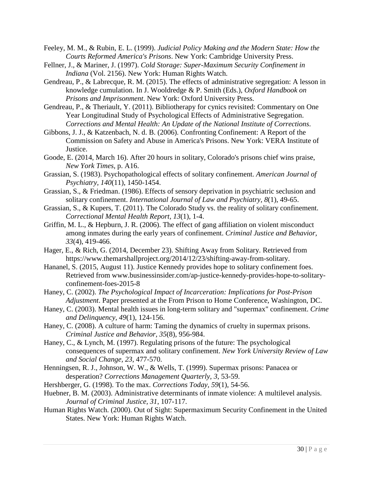- <span id="page-33-6"></span>Feeley, M. M., & Rubin, E. L. (1999). *Judicial Policy Making and the Modern State: How the Courts Reformed America's Prisons*. New York: Cambridge University Press.
- <span id="page-33-3"></span>Fellner, J., & Mariner, J. (1997). *Cold Storage: Super-Maximum Security Confinement in Indiana* (Vol. 2156). New York: Human Rights Watch.
- <span id="page-33-10"></span>Gendreau, P., & Labrecque, R. M. (2015). The effects of administrative segregation: A lesson in knowledge cumulation. In J. Wooldredge & P. Smith (Eds.), *Oxford Handbook on Prisons and Imprisonment*. New York: Oxford University Press.
- <span id="page-33-18"></span>Gendreau, P., & Theriault, Y. (2011). Bibliotherapy for cynics revisited: Commentary on One Year Longitudinal Study of Psychological Effects of Administrative Segregation. *Corrections and Mental Health: An Update of the National Institute of Corrections*.
- <span id="page-33-1"></span>Gibbons, J. J., & Katzenbach, N. d. B. (2006). Confronting Confinement: A Report of the Commission on Safety and Abuse in America's Prisons. New York: VERA Institute of Justice.
- <span id="page-33-8"></span>Goode, E. (2014, March 16). After 20 hours in solitary, Colorado's prisons chief wins praise, *New York Times,* p. A16.
- <span id="page-33-11"></span>Grassian, S. (1983). Psychopathological effects of solitary confinement. *American Journal of Psychiatry, 140*(11), 1450-1454.
- <span id="page-33-12"></span>Grassian, S., & Friedman. (1986). Effects of sensory deprivation in psychiatric seclusion and solitary confinement. *International Journal of Law and Psychiatry, 8*(1), 49-65.
- <span id="page-33-17"></span>Grassian, S., & Kupers, T. (2011). The Colorado Study vs. the reality of solitary confinement. *Correctional Mental Health Report, 13*(1), 1-4.
- <span id="page-33-5"></span>Griffin, M. L., & Hepburn, J. R. (2006). The effect of gang affiliation on violent misconduct among inmates during the early years of confinement. *Criminal Justice and Behavior, 33*(4), 419-466.
- <span id="page-33-7"></span>Hager, E., & Rich, G. (2014, December 23). Shifting Away from Solitary. Retrieved from [https://www.themarshallproject.org/2014/12/23/shifting-away-from-solitary.](https://www.themarshallproject.org/2014/12/23/shifting-away-from-solitary)
- Hananel, S. (2015, August 11). Justice Kennedy provides hope to solitary confinement foes. Retrieved from [www.businessinsider.com/ap-justice-kennedy-provides-hope-to-solitary](http://www.businessinsider.com/ap-justice-kennedy-provides-hope-to-solitary-confinement-foes-2015-8)[confinement-foes-2015-8](http://www.businessinsider.com/ap-justice-kennedy-provides-hope-to-solitary-confinement-foes-2015-8)
- <span id="page-33-13"></span>Haney, C. (2002). *The Psychological Impact of Incarceration: Implications for Post-Prison Adjustment*. Paper presented at the From Prison to Home Conference, Washington, DC.
- <span id="page-33-14"></span>Haney, C. (2003). Mental health issues in long-term solitary and "supermax" confinement. *Crime and Delinquency, 49*(1), 124-156.
- <span id="page-33-15"></span>Haney, C. (2008). A culture of harm: Taming the dynamics of cruelty in supermax prisons. *Criminal Justice and Behavior, 35*(8), 956-984.
- <span id="page-33-16"></span>Haney, C., & Lynch, M. (1997). Regulating prisons of the future: The psychological consequences of supermax and solitary confinement. *New York University Review of Law and Social Change, 23*, 477-570.
- <span id="page-33-4"></span>Henningsen, R. J., Johnson, W. W., & Wells, T. (1999). Supermax prisons: Panacea or desperation? *Corrections Management Quarterly, 3*, 53-59.
- <span id="page-33-2"></span>Hershberger, G. (1998). To the max. *Corrections Today, 59*(1), 54-56.
- <span id="page-33-9"></span>Huebner, B. M. (2003). Administrative determinants of inmate violence: A multilevel analysis. *Journal of Criminal Justice, 31*, 107-117.
- <span id="page-33-0"></span>Human Rights Watch. (2000). Out of Sight: Supermaximum Security Confinement in the United States. New York: Human Rights Watch.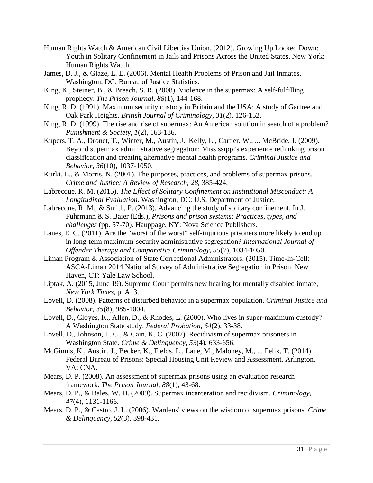- <span id="page-34-1"></span>Human Rights Watch & American Civil Liberties Union. (2012). Growing Up Locked Down: Youth in Solitary Confinement in Jails and Prisons Across the United States. New York: Human Rights Watch.
- <span id="page-34-10"></span>James, D. J., & Glaze, L. E. (2006). Mental Health Problems of Prison and Jail Inmates. Washington, DC: Bureau of Justice Statistics.
- <span id="page-34-4"></span>King, K., Steiner, B., & Breach, S. R. (2008). Violence in the supermax: A self-fulfilling prophecy. *The Prison Journal, 88*(1), 144-168.
- <span id="page-34-5"></span>King, R. D. (1991). Maximum security custody in Britain and the USA: A study of Gartree and Oak Park Heights. *British Journal of Criminology, 31*(2), 126-152.
- <span id="page-34-3"></span>King, R. D. (1999). The rise and rise of supermax: An American solution in search of a problem? *Punishment & Society, 1*(2), 163-186.
- <span id="page-34-6"></span>Kupers, T. A., Dronet, T., Winter, M., Austin, J., Kelly, L., Cartier, W., ... McBride, J. (2009). Beyond supermax administrative segregation: Mississippi's experience rethinking prison classification and creating alternative mental health programs. *Criminal Justice and Behavior, 36*(10), 1037-1050.
- <span id="page-34-9"></span>Kurki, L., & Morris, N. (2001). The purposes, practices, and problems of supermax prisons. *Crime and Justice: A Review of Research, 28*, 385-424.
- <span id="page-34-16"></span>Labrecque, R. M. (2015). *The Effect of Solitary Confinement on Institutional Misconduct: A Longitudinal Evaluation*. Washington, DC: U.S. Department of Justice.
- <span id="page-34-15"></span>Labrecque, R. M., & Smith, P. (2013). Advancing the study of solitary confinement. In J. Fuhrmann & S. Baier (Eds.), *Prisons and prison systems: Practices, types, and challenges* (pp. 57-70). Hauppage, NY: Nova Science Publishers.
- <span id="page-34-13"></span>Lanes, E. C. (2011). Are the "worst of the worst" self-injurious prisoners more likely to end up in long-term maximum-security administrative segregation? *International Journal of Offender Therapy and Comparative Criminology, 55*(7), 1034-1050.
- <span id="page-34-8"></span>Liman Program & Association of State Correctional Administrators. (2015). Time-In-Cell: ASCA-Liman 2014 National Survey of Administrative Segregation in Prison. New Haven, CT: Yale Law School.
- <span id="page-34-0"></span>Liptak, A. (2015, June 19). Supreme Court permits new hearing for mentally disabled inmate, *New York Times,* p. A13.
- <span id="page-34-11"></span>Lovell, D. (2008). Patterns of disturbed behavior in a supermax population. *Criminal Justice and Behavior, 35*(8), 985-1004.
- <span id="page-34-12"></span>Lovell, D., Cloyes, K., Allen, D., & Rhodes, L. (2000). Who lives in super-maximum custody? A Washington State study. *Federal Probation, 64*(2), 33-38.
- <span id="page-34-17"></span>Lovell, D., Johnson, L. C., & Cain, K. C. (2007). Recidivism of supermax prisoners in Washington State. *Crime & Delinquency, 53*(4), 633-656.
- <span id="page-34-2"></span>McGinnis, K., Austin, J., Becker, K., Fields, L., Lane, M., Maloney, M., ... Felix, T. (2014). Federal Bureau of Prisons: Special Housing Unit Review and Assessment. Arlington, VA: CNA.
- <span id="page-34-14"></span>Mears, D. P. (2008). An assessment of supermax prisons using an evaluation research framework. *The Prison Journal, 88*(1), 43-68.
- <span id="page-34-18"></span>Mears, D. P., & Bales, W. D. (2009). Supermax incarceration and recidivism. *Criminology, 47*(4), 1131-1166.
- <span id="page-34-7"></span>Mears, D. P., & Castro, J. L. (2006). Wardens' views on the wisdom of supermax prisons. *Crime & Delinquency, 52*(3), 398-431.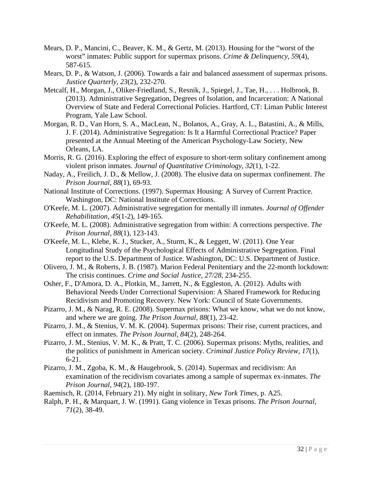- <span id="page-35-11"></span>Mears, D. P., Mancini, C., Beaver, K. M., & Gertz, M. (2013). Housing for the "worst of the worst" inmates: Public support for supermax prisons. *Crime & Delinquency, 59*(4), 587-615.
- Mears, D. P., & Watson, J. (2006). Towards a fair and balanced assessment of supermax prisons. *Justice Quarterly, 23*(2), 232-270.
- <span id="page-35-5"></span>Metcalf, H., Morgan, J., Oliker-Friedland, S., Resnik, J., Spiegel, J., Tae, H., . . . Holbrook, B. (2013). Administrative Segregation, Degrees of Isolation, and Incarceration: A National Overview of State and Federal Correctional Policies. Hartford, CT: Liman Public Interest Program, Yale Law School.
- <span id="page-35-16"></span>Morgan, R. D., Van Horn, S. A., MacLean, N., Bolanos, A., Gray, A. L., Batastini, A., & Mills, J. F. (2014). Administrative Segregation: Is It a Harmful Correctional Practice? Paper presented at the Annual Meeting of the American Psychology-Law Society, New Orleans, LA.
- <span id="page-35-14"></span>Morris, R. G. (2016). Exploring the effect of exposure to short-term solitary confinement among violent prison inmates. *Journal of Quantitative Criminology, 32*(1), 1-22.
- <span id="page-35-2"></span>Naday, A., Freilich, J. D., & Mellow, J. (2008). The elusive data on supermax confinement. *The Prison Journal, 88*(1), 69-93.
- <span id="page-35-3"></span>National Institute of Corrections. (1997). Supermax Housing: A Survey of Current Practice. Washington, DC: National Institute of Corrections.
- <span id="page-35-8"></span>O'Keefe, M. L. (2007). Administrative segregation for mentally ill inmates. *Journal of Offender Rehabilitation, 45*(1-2), 149-165.
- <span id="page-35-4"></span>O'Keefe, M. L. (2008). Administrative segregation from within: A corrections perspective. *The Prison Journal, 88*(1), 123-143.
- <span id="page-35-6"></span>O'Keefe, M. L., Klebe, K. J., Stucker, A., Sturm, K., & Leggett, W. (2011). One Year Longitudinal Study of the Psychological Effects of Administrative Segregation. Final report to the U.S. Department of Justice. Washington, DC: U.S. Department of Justice.
- <span id="page-35-1"></span>Olivero, J. M., & Roberts, J. B. (1987). Marion Federal Penitentiary and the 22-month lockdown: The crisis continues. *Crime and Social Justice, 27/28*, 234-255.
- <span id="page-35-7"></span>Osher, F., D'Amora, D. A., Plotkin, M., Jarrett, N., & Eggleston, A. (2012). Adults with Behavioral Needs Under Correctional Supervision: A Shared Framework for Reducing Recidivism and Promoting Recovery. New York: Council of State Governments.
- <span id="page-35-9"></span>Pizarro, J. M., & Narag, R. E. (2008). Supermax prisons: What we know, what we do not know, and where we are going. *The Prison Journal, 88*(1), 23-42.
- <span id="page-35-0"></span>Pizarro, J. M., & Stenius, V. M. K. (2004). Supermax prisons: Their rise, current practices, and effect on inmates. *The Prison Journal, 84*(2), 248-264.
- <span id="page-35-10"></span>Pizarro, J. M., Stenius, V. M. K., & Pratt, T. C. (2006). Supermax prisons: Myths, realities, and the politics of punishment in American society. *Criminal Justice Policy Review, 17*(1), 6-21.
- <span id="page-35-15"></span>Pizarro, J. M., Zgoba, K. M., & Haugebrook, S. (2014). Supermax and recidivism: An examination of the recidivism covariates among a sample of supermax ex-inmates. *The Prison Journal, 94*(2), 180-197.
- <span id="page-35-12"></span>Raemisch, R. (2014, February 21). My night in solitary, *New Tork Times,* p. A25.
- <span id="page-35-13"></span>Ralph, P. H., & Marquart, J. W. (1991). Gang violence in Texas prisons. *The Prison Journal, 71*(2), 38-49.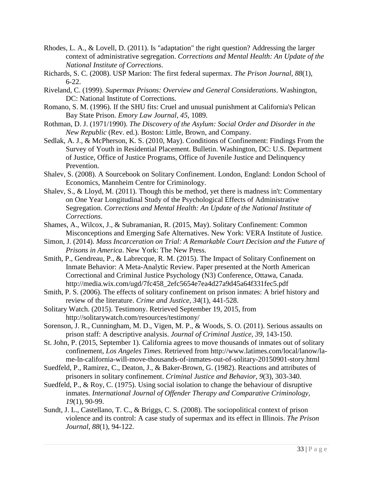- <span id="page-36-15"></span>Rhodes, L. A., & Lovell, D. (2011). Is "adaptation" the right question? Addressing the larger context of administrative segregation. *Corrections and Mental Health: An Update of the National Institute of Corrections*.
- <span id="page-36-4"></span>Richards, S. C. (2008). USP Marion: The first federal supermax. *The Prison Journal, 88*(1),  $6 - 22$ .
- <span id="page-36-3"></span>Riveland, C. (1999). *Supermax Prisons: Overview and General Considerations*. Washington, DC: National Institute of Corrections.
- <span id="page-36-5"></span>Romano, S. M. (1996). If the SHU fits: Cruel and unusual punishment at California's Pelican Bay State Prison. *Emory Law Journal, 45*, 1089.
- <span id="page-36-2"></span>Rothman, D. J. (1971/1990). *The Discovery of the Asylum: Social Order and Disorder in the New Republic* (Rev. ed.). Boston: Little, Brown, and Company.
- <span id="page-36-6"></span>Sedlak, A. J., & McPherson, K. S. (2010, May). Conditions of Confinement: Findings From the Survey of Youth in Residential Placement. Bulletin. Washington, DC: U.S. Department of Justice, Office of Justice Programs, Office of Juvenile Justice and Delinquency Prevention.
- <span id="page-36-11"></span>Shalev, S. (2008). A Sourcebook on Solitary Confinement. London, England: London School of Economics, Mannheim Centre for Criminology.
- <span id="page-36-16"></span>Shalev, S., & Lloyd, M. (2011). Though this be method, yet there is madness in't: Commentary on One Year Longitudinal Study of the Psychological Effects of Administrative Segregation. *Corrections and Mental Health: An Update of the National Institute of Corrections*.
- <span id="page-36-1"></span>Shames, A., Wilcox, J., & Subramanian, R. (2015, May). Solitary Confinement: Common Misconceptions and Emerging Safe Alternatives. New York: VERA Institute of Justice.
- <span id="page-36-7"></span>Simon, J. (2014). *Mass Incarceration on Trial: A Remarkable Court Decision and the Future of Prisons in America*. New York: The New Press.
- <span id="page-36-17"></span>Smith, P., Gendreau, P., & Labrecque, R. M. (2015). The Impact of Solitary Confinement on Inmate Behavior: A Meta-Analytic Review. Paper presented at the North American Correctional and Criminal Justice Psychology (N3) Conference, Ottawa, Canada. [http://media.wix.com/ugd/7fc458\\_2efc5654e7ea4d27a9d45a64f331fec5.pdf](http://media.wix.com/ugd/7fc458_2efc5654e7ea4d27a9d45a64f331fec5.pdf)
- <span id="page-36-12"></span>Smith, P. S. (2006). The effects of solitary confinement on prison inmates: A brief history and review of the literature. *Crime and Justice, 34*(1), 441-528.
- <span id="page-36-8"></span>Solitary Watch. (2015). Testimony. Retrieved September 19, 2015, from <http://solitarywatch.com/resources/testimony/>
- <span id="page-36-9"></span>Sorenson, J. R., Cunningham, M. D., Vigen, M. P., & Woods, S. O. (2011). Serious assaults on prison staff: A descriptive analysis. *Journal of Criminal Justice, 39*, 143-150.
- <span id="page-36-0"></span>St. John, P. (2015, September 1). California agrees to move thousands of inmates out of solitary confinement, *Los Angeles Times*. Retrieved from [http://www.latimes.com/local/lanow/la](http://www.latimes.com/local/lanow/la-me-ln-california-will-move-thousands-of-inmates-out-of-solitary-20150901-story.html)[me-ln-california-will-move-thousands-of-inmates-out-of-solitary-20150901-story.html](http://www.latimes.com/local/lanow/la-me-ln-california-will-move-thousands-of-inmates-out-of-solitary-20150901-story.html)
- <span id="page-36-14"></span>Suedfeld, P., Ramirez, C., Deaton, J., & Baker-Brown, G. (1982). Reactions and attributes of prisoners in solitary confinement. *Criminal Justice and Behavior, 9*(3), 303-340.
- <span id="page-36-13"></span>Suedfeld, P., & Roy, C. (1975). Using social isolation to change the behaviour of disruptive inmates. *International Journal of Offender Therapy and Comparative Criminology, 19*(1), 90-99.
- <span id="page-36-10"></span>Sundt, J. L., Castellano, T. C., & Briggs, C. S. (2008). The sociopolitical context of prison violence and its control: A case study of supermax and its effect in Illinois. *The Prison Journal, 88*(1), 94-122.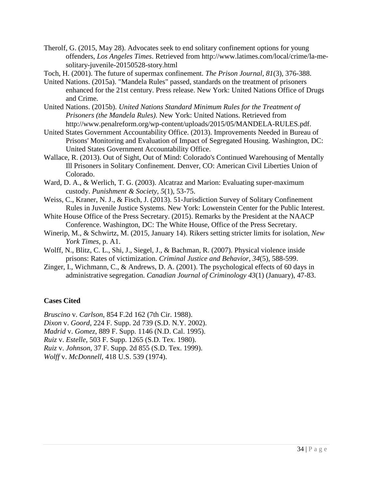<span id="page-37-13"></span><span id="page-37-8"></span>Therolf, G. (2015, May 28). Advocates seek to end solitary confinement options for young offenders, *Los Angeles Times*. Retrieved from [http://www.latimes.com/local/crime/la-me](http://www.latimes.com/local/crime/la-me-solitary-juvenile-20150528-story.html)[solitary-juvenile-20150528-story.html](http://www.latimes.com/local/crime/la-me-solitary-juvenile-20150528-story.html)

<span id="page-37-10"></span>Toch, H. (2001). The future of supermax confinement. *The Prison Journal, 81*(3), 376-388.

- <span id="page-37-2"></span>United Nations. (2015a). "Mandela Rules" passed, standards on the treatment of prisoners enhanced for the 21st century. Press release. New York: United Nations Office of Drugs and Crime.
- <span id="page-37-3"></span>United Nations. (2015b). *United Nations Standard Minimum Rules for the Treatment of Prisoners (the Mandela Rules)*. New York: United Nations. Retrieved from [http://www.penalreform.org/wp-content/uploads/2015/05/MANDELA-RULES.pdf.](http://www.penalreform.org/wp-content/uploads/2015/05/MANDELA-RULES.pdf)
- <span id="page-37-4"></span>United States Government Accountability Office. (2013). Improvements Needed in Bureau of Prisons' Monitoring and Evaluation of Impact of Segregated Housing. Washington, DC: United States Government Accountability Office.
- <span id="page-37-5"></span>Wallace, R. (2013). Out of Sight, Out of Mind: Colorado's Continued Warehousing of Mentally Ill Prisoners in Solitary Confinement. Denver, CO: American Civil Liberties Union of Colorado.
- <span id="page-37-6"></span>Ward, D. A., & Werlich, T. G. (2003). Alcatraz and Marion: Evaluating super-maximum custody. *Punishment & Society, 5*(1), 53-75.
- <span id="page-37-7"></span>Weiss, C., Kraner, N. J., & Fisch, J. (2013). 51-Jurisdiction Survey of Solitary Confinement Rules in Juvenile Justice Systems. New York: Lowenstein Center for the Public Interest.
- <span id="page-37-1"></span>White House Office of the Press Secretary. (2015). Remarks by the President at the NAACP Conference. Washington, DC: The White House, Office of the Press Secretary.
- <span id="page-37-9"></span>Winerip, M., & Schwirtz, M. (2015, January 14). Rikers setting stricter limits for isolation, *New York Times,* p. A1.
- <span id="page-37-11"></span>Wolff, N., Blitz, C. L., Shi, J., Siegel, J., & Bachman, R. (2007). Physical violence inside prisons: Rates of victimization. *Criminal Justice and Behavior, 34*(5), 588-599.
- <span id="page-37-12"></span>Zinger, I., Wichmann, C., & Andrews, D. A. (2001). The psychological effects of 60 days in administrative segregation. *Canadian Journal of Criminology 43*(1) (January), 47-83.

### **Cases Cited**

*Bruscino* v. *Carlson*, 854 F.2d 162 (7th Cir. 1988).

*Dixon* v. *Goord*, 224 F. Supp. 2d 739 (S.D. N.Y. 2002).

*Madrid* v. *Gomez,* 889 F. Supp. 1146 (N.D. Cal. 1995).

*Ruiz* v. *Estelle,* 503 F. Supp. 1265 (S.D. Tex. 1980).

*Ruiz* v. *Johnson,* 37 F. Supp. 2d 855 (S.D. Tex. 1999).

<span id="page-37-0"></span>*Wolff* v. *McDonnell*, 418 U.S. 539 (1974).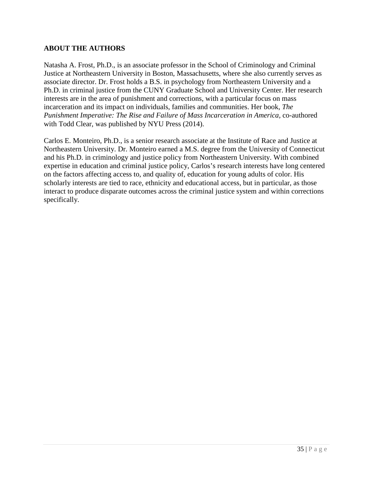### **ABOUT THE AUTHORS**

Natasha A. Frost, Ph.D., is an associate professor in the School of Criminology and Criminal Justice at Northeastern University in Boston, Massachusetts, where she also currently serves as associate director. Dr. Frost holds a B.S. in psychology from Northeastern University and a Ph.D. in criminal justice from the CUNY Graduate School and University Center. Her research interests are in the area of punishment and corrections, with a particular focus on mass incarceration and its impact on individuals, families and communities. Her book, *The Punishment Imperative: The Rise and Failure of Mass Incarceration in America,* co-authored with Todd Clear, was published by NYU Press (2014).

Carlos E. Monteiro, Ph.D., is a senior research associate at the Institute of Race and Justice at Northeastern University. Dr. Monteiro earned a M.S. degree from the University of Connecticut and his Ph.D. in criminology and justice policy from Northeastern University. With combined expertise in education and criminal justice policy, Carlos's research interests have long centered on the factors affecting access to, and quality of, education for young adults of color. His scholarly interests are tied to race, ethnicity and educational access, but in particular, as those interact to produce disparate outcomes across the criminal justice system and within corrections specifically.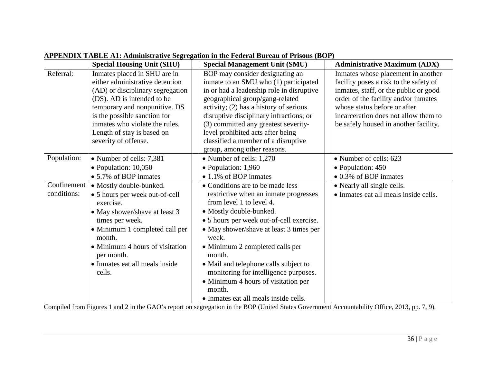<span id="page-39-0"></span>

|                            | <b>Special Housing Unit (SHU)</b>                                                                                                                                                                                                                                                          | <b>Special Management Unit (SMU)</b>                                                                                                                                                                                                                                                                                                                                                                                                                      | <b>Administrative Maximum (ADX)</b>                                                                                                                                                                                                                                            |
|----------------------------|--------------------------------------------------------------------------------------------------------------------------------------------------------------------------------------------------------------------------------------------------------------------------------------------|-----------------------------------------------------------------------------------------------------------------------------------------------------------------------------------------------------------------------------------------------------------------------------------------------------------------------------------------------------------------------------------------------------------------------------------------------------------|--------------------------------------------------------------------------------------------------------------------------------------------------------------------------------------------------------------------------------------------------------------------------------|
| Referral:                  | Inmates placed in SHU are in<br>either administrative detention<br>(AD) or disciplinary segregation<br>(DS). AD is intended to be<br>temporary and nonpunitive. DS<br>is the possible sanction for<br>inmates who violate the rules.<br>Length of stay is based on<br>severity of offense. | BOP may consider designating an<br>inmate to an SMU who (1) participated<br>in or had a leadership role in disruptive<br>geographical group/gang-related<br>activity; (2) has a history of serious<br>disruptive disciplinary infractions; or<br>(3) committed any greatest severity-<br>level prohibited acts after being<br>classified a member of a disruptive<br>group, among other reasons.                                                          | Inmates whose placement in another<br>facility poses a risk to the safety of<br>inmates, staff, or the public or good<br>order of the facility and/or inmates<br>whose status before or after<br>incarceration does not allow them to<br>be safely housed in another facility. |
| Population:                | • Number of cells: 7,381<br>$\bullet$ Population: 10,050<br>• 5.7% of BOP inmates                                                                                                                                                                                                          | • Number of cells: 1,270<br>$\bullet$ Population: 1,960<br>• 1.1% of BOP inmates                                                                                                                                                                                                                                                                                                                                                                          | • Number of cells: 623<br>• Population: 450<br>• 0.3% of BOP inmates                                                                                                                                                                                                           |
| Confinement<br>conditions: | • Mostly double-bunked.<br>• 5 hours per week out-of-cell<br>exercise.<br>• May shower/shave at least 3<br>times per week.<br>• Minimum 1 completed call per<br>month.<br>• Minimum 4 hours of visitation<br>per month.<br>• Inmates eat all meals inside<br>cells.                        | • Conditions are to be made less<br>restrictive when an inmate progresses<br>from level 1 to level 4.<br>• Mostly double-bunked.<br>• 5 hours per week out-of-cell exercise.<br>• May shower/shave at least 3 times per<br>week.<br>• Minimum 2 completed calls per<br>month.<br>• Mail and telephone calls subject to<br>monitoring for intelligence purposes.<br>• Minimum 4 hours of visitation per<br>month.<br>• Inmates eat all meals inside cells. | • Nearly all single cells.<br>• Inmates eat all meals inside cells.                                                                                                                                                                                                            |

# **APPENDIX TABLE A1: Administrative Segregation in the Federal Bureau of Prisons (BOP)**

Compiled from Figures 1 and 2 in the GAO's report on segregation in the BOP [\(United States Government Accountability Office, 2013, pp. 7, 9\)](#page-37-13).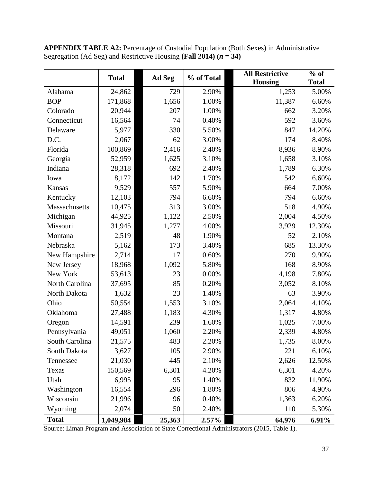|                | <b>Total</b> | Ad Seg | % of Total | <b>All Restrictive</b> | $%$ of       |
|----------------|--------------|--------|------------|------------------------|--------------|
|                |              |        |            | <b>Housing</b>         | <b>Total</b> |
| Alabama        | 24,862       | 729    | 2.90%      | 1,253                  | 5.00%        |
| <b>BOP</b>     | 171,868      | 1,656  | 1.00%      | 11,387                 | 6.60%        |
| Colorado       | 20,944       | 207    | 1.00%      | 662                    | 3.20%        |
| Connecticut    | 16,564       | 74     | 0.40%      | 592                    | 3.60%        |
| Delaware       | 5,977        | 330    | 5.50%      | 847                    | 14.20%       |
| D.C.           | 2,067        | 62     | 3.00%      | 174                    | 8.40%        |
| Florida        | 100,869      | 2,416  | 2.40%      | 8,936                  | 8.90%        |
| Georgia        | 52,959       | 1,625  | 3.10%      | 1,658                  | 3.10%        |
| Indiana        | 28,318       | 692    | 2.40%      | 1,789                  | 6.30%        |
| Iowa           | 8,172        | 142    | 1.70%      | 542                    | 6.60%        |
| Kansas         | 9,529        | 557    | 5.90%      | 664                    | 7.00%        |
| Kentucky       | 12,103       | 794    | 6.60%      | 794                    | 6.60%        |
| Massachusetts  | 10,475       | 313    | 3.00%      | 518                    | 4.90%        |
| Michigan       | 44,925       | 1,122  | 2.50%      | 2,004                  | 4.50%        |
| Missouri       | 31,945       | 1,277  | 4.00%      | 3,929                  | 12.30%       |
| Montana        | 2,519        | 48     | 1.90%      | 52                     | 2.10%        |
| Nebraska       | 5,162        | 173    | 3.40%      | 685                    | 13.30%       |
| New Hampshire  | 2,714        | 17     | 0.60%      | 270                    | 9.90%        |
| New Jersey     | 18,968       | 1,092  | 5.80%      | 168                    | 8.90%        |
| New York       | 53,613       | 23     | 0.00%      | 4,198                  | 7.80%        |
| North Carolina | 37,695       | 85     | 0.20%      | 3,052                  | 8.10%        |
| North Dakota   | 1,632        | 23     | 1.40%      | 63                     | 3.90%        |
| Ohio           | 50,554       | 1,553  | 3.10%      | 2,064                  | 4.10%        |
| Oklahoma       | 27,488       | 1,183  | 4.30%      | 1,317                  | 4.80%        |
| Oregon         | 14,591       | 239    | 1.60%      | 1,025                  | 7.00%        |
| Pennsylvania   | 49,051       | 1,060  | 2.20%      | 2,339                  | 4.80%        |
| South Carolina | 21,575       | 483    | 2.20%      | 1,735                  | 8.00%        |
| South Dakota   | 3,627        | 105    | 2.90%      | 221                    | 6.10%        |
| Tennessee      | 21,030       | 445    | 2.10%      | 2,626                  | 12.50%       |
| Texas          | 150,569      | 6,301  | 4.20%      | 6,301                  | 4.20%        |
| Utah           | 6,995        | 95     | 1.40%      | 832                    | 11.90%       |
| Washington     | 16,554       | 296    | 1.80%      | 806                    | 4.90%        |
| Wisconsin      | 21,996       | 96     | 0.40%      | 1,363                  | 6.20%        |
| Wyoming        | 2,074        | 50     | 2.40%      | 110                    | 5.30%        |
| <b>Total</b>   | 1,049,984    | 25,363 | 2.57%      | 64,976                 | 6.91%        |

<span id="page-40-0"></span>**APPENDIX TABLE A2:** Percentage of Custodial Population (Both Sexes) in Administrative Segregation (Ad Seg) and Restrictive Housing **(Fall 2014)**  $(n = 34)$ 

Source: [Liman Program and Association of State Correctional Administrators \(2015, Table 1\).](#page-34-8)